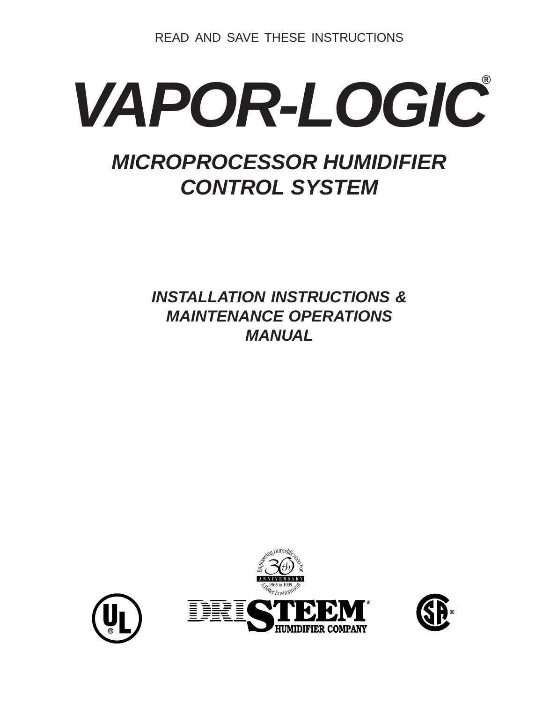READ AND SAVE THESE INSTRUCTIONS

# *VAPOR-LOGIC ®MICROPROCESSOR HUMIDIFIER CONTROL SYSTEM*

*INSTALLATION INSTRUCTIONS & MAINTENANCE OPERATIONS MANUAL*



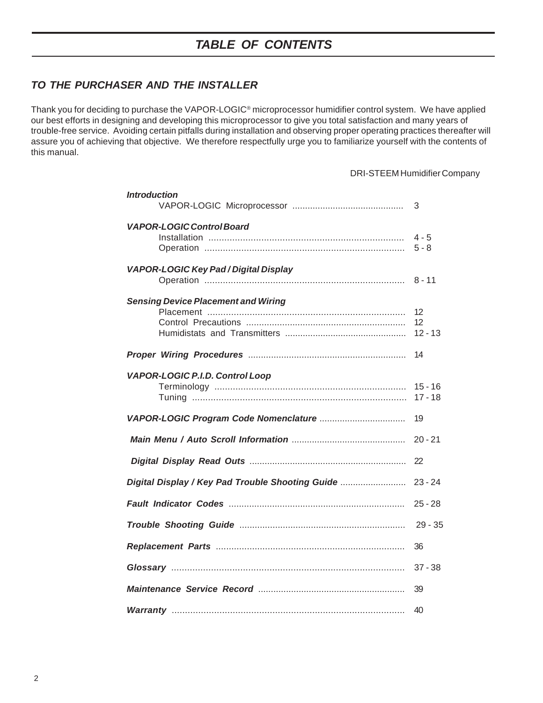### *TO THE PURCHASER AND THE INSTALLER*

Thank you for deciding to purchase the VAPOR-LOGIC® microprocessor humidifier control system. We have applied our best efforts in designing and developing this microprocessor to give you total satisfaction and many years of trouble-free service. Avoiding certain pitfalls during installation and observing proper operating practices thereafter will assure you of achieving that objective. We therefore respectfully urge you to familiarize yourself with the contents of this manual.

#### DRI-STEEM Humidifier Company

| Introduction                                     | 3                      |
|--------------------------------------------------|------------------------|
| <b>VAPOR-LOGIC Control Board</b>                 | $4 - 5$<br>$5 - 8$     |
| <b>VAPOR-LOGIC Key Pad / Digital Display</b>     | $8 - 11$               |
| <b>Sensing Device Placement and Wiring</b>       | 12<br>12<br>$12 - 13$  |
|                                                  | 14                     |
| <b>VAPOR-LOGIC P.I.D. Control Loop</b>           | $15 - 16$<br>$17 - 18$ |
|                                                  | 19                     |
|                                                  | $20 - 21$              |
|                                                  | 22                     |
| Digital Display / Key Pad Trouble Shooting Guide | $23 - 24$              |
|                                                  | $25 - 28$              |
|                                                  | $29 - 35$              |
|                                                  | 36                     |
|                                                  | $37 - 38$              |
|                                                  | 39                     |
|                                                  | 40                     |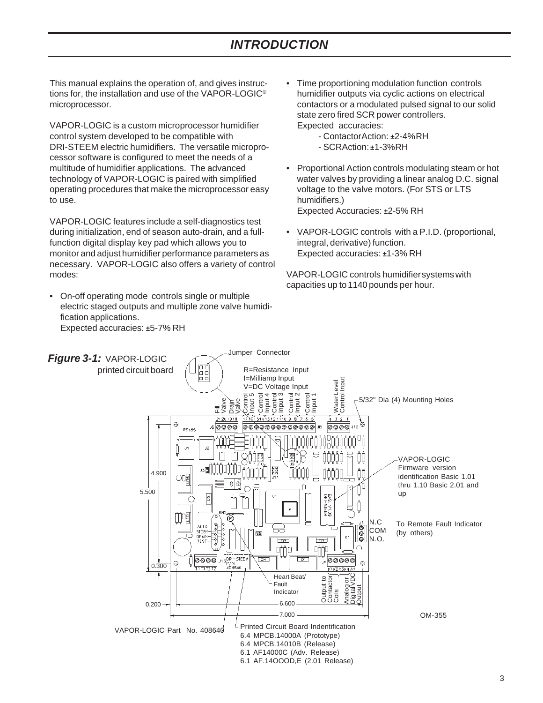### *INTRODUCTION*

This manual explains the operation of, and gives instructions for, the installation and use of the VAPOR-LOGIC® microprocessor.

VAPOR-LOGIC is a custom microprocessor humidifier control system developed to be compatible with DRI-STEEM electric humidifiers. The versatile microprocessor software is configured to meet the needs of a multitude of humidifier applications. The advanced technology of VAPOR-LOGIC is paired with simplified operating procedures that make the microprocessor easy to use.

VAPOR-LOGIC features include a self-diagnostics test during initialization, end of season auto-drain, and a fullfunction digital display key pad which allows you to monitor and adjust humidifier performance parameters as necessary. VAPOR-LOGIC also offers a variety of control modes:

• On-off operating mode controls single or multiple electric staged outputs and multiple zone valve humidification applications. Expected accuracies: *±*5-7% RH

- Time proportioning modulation function controls humidifier outputs via cyclic actions on electrical contactors or a modulated pulsed signal to our solid state zero fired SCR power controllers. Expected accuracies:
	- Contactor Action: *±*2-4% RH
	- SCR Action: *±*1-3% RH
- Proportional Action controls modulating steam or hot water valves by providing a linear analog D.C. signal voltage to the valve motors. (For STS or LTS humidifiers.) Expected Accuracies: *±*2-5% RH
- VAPOR-LOGIC controls with a P.I.D. (proportional, integral, derivative) function. Expected accuracies: *±*1-3% RH

VAPOR-LOGIC controls humidifier systems with capacities up to 1140 pounds per hour.

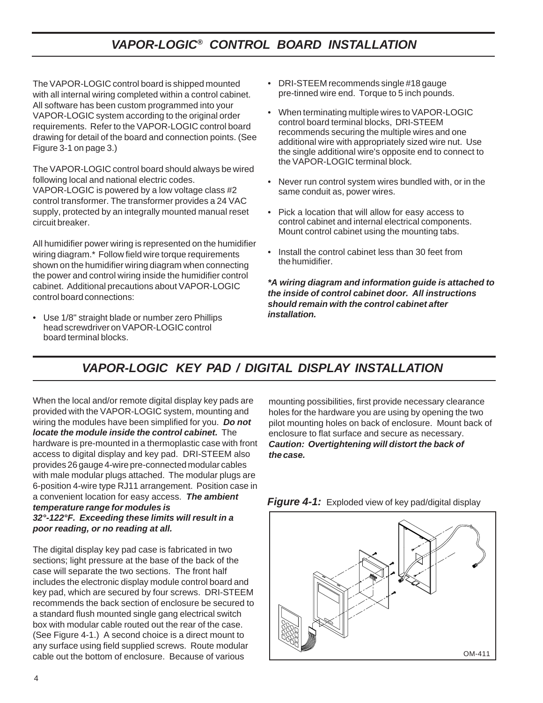### *VAPOR-LOGIC® CONTROL BOARD INSTALLATION*

The VAPOR-LOGIC control board is shipped mounted with all internal wiring completed within a control cabinet. All software has been custom programmed into your VAPOR-LOGIC system according to the original order requirements. Refer to the VAPOR-LOGIC control board drawing for detail of the board and connection points. (See Figure 3-1 on page 3.)

The VAPOR-LOGIC control board should always be wired following local and national electric codes.

VAPOR-LOGIC is powered by a low voltage class #2 control transformer. The transformer provides a 24 VAC supply, protected by an integrally mounted manual reset circuit breaker.

All humidifier power wiring is represented on the humidifier wiring diagram.\* Follow field wire torque requirements shown on the humidifier wiring diagram when connecting the power and control wiring inside the humidifier control cabinet. Additional precautions about VAPOR-LOGIC control board connections:

• Use 1/8" straight blade or number zero Phillips head screwdriver on VAPOR-LOGIC control board terminal blocks.

- DRI-STEEM recommends single #18 gauge pre-tinned wire end. Torque to 5 inch pounds.
- When terminating multiple wires to VAPOR-LOGIC control board terminal blocks, DRI-STEEM recommends securing the multiple wires and one additional wire with appropriately sized wire nut. Use the single additional wire's opposite end to connect to the VAPOR-LOGIC terminal block.
- Never run control system wires bundled with, or in the same conduit as, power wires.
- Pick a location that will allow for easy access to control cabinet and internal electrical components. Mount control cabinet using the mounting tabs.
- Install the control cabinet less than 30 feet from the humidifier.

*\*A wiring diagram and information guide is attached to the inside of control cabinet door. All instructions should remain with the control cabinet after installation.*

# *VAPOR-LOGIC KEY PAD / DIGITAL DISPLAY INSTALLATION*

When the local and/or remote digital display key pads are provided with the VAPOR-LOGIC system, mounting and wiring the modules have been simplified for you. *Do not locate the module inside the control cabinet.* The hardware is pre-mounted in a thermoplastic case with front access to digital display and key pad. DRI-STEEM also provides 26 gauge 4-wire pre-connected modular cables with male modular plugs attached. The modular plugs are 6-position 4-wire type RJ11 arrangement. Position case in a convenient location for easy access. *The ambient temperature range for modules is 32°-122°F. Exceeding these limits will result in a poor reading, or no reading at all.*

The digital display key pad case is fabricated in two sections; light pressure at the base of the back of the case will separate the two sections. The front half includes the electronic display module control board and key pad, which are secured by four screws. DRI-STEEM recommends the back section of enclosure be secured to a standard flush mounted single gang electrical switch box with modular cable routed out the rear of the case. (See Figure 4-1.) A second choice is a direct mount to any surface using field supplied screws. Route modular cable out the bottom of enclosure. Because of various

mounting possibilities, first provide necessary clearance holes for the hardware you are using by opening the two pilot mounting holes on back of enclosure. Mount back of enclosure to flat surface and secure as necessary. *Caution: Overtightening will distort the back of the case.*



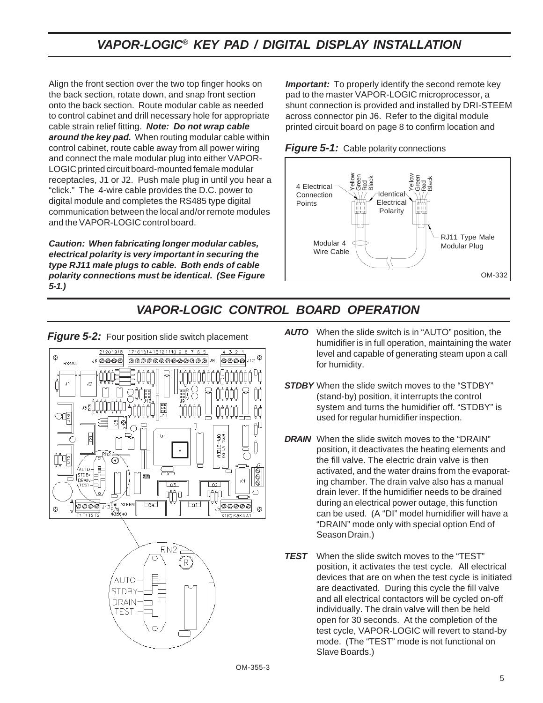### *VAPOR-LOGIC® KEY PAD / DIGITAL DISPLAY INSTALLATION*

Align the front section over the two top finger hooks on the back section, rotate down, and snap front section onto the back section. Route modular cable as needed to control cabinet and drill necessary hole for appropriate cable strain relief fitting. *Note: Do not wrap cable around the key pad.* When routing modular cable within control cabinet, route cable away from all power wiring and connect the male modular plug into either VAPOR-LOGIC printed circuit board-mounted female modular receptacles, J1 or J2. Push male plug in until you hear a "click." The 4-wire cable provides the D.C. power to digital module and completes the RS485 type digital communication between the local and/or remote modules and the VAPOR-LOGIC control board.

*Caution: When fabricating longer modular cables, electrical polarity is very important in securing the type RJ11 male plugs to cable. Both ends of cable polarity connections must be identical. (See Figure 5-1.)*

*Important:* To properly identify the second remote key pad to the master VAPOR-LOGIC microprocessor, a shunt connection is provided and installed by DRI-STEEM across connector pin J6. Refer to the digital module printed circuit board on page 8 to confirm location and





### *VAPOR-LOGIC CONTROL BOARD OPERATION*





**Figure 5-2:** Four position slide switch placement

- *AUTO* When the slide switch is in "AUTO" position, the humidifier is in full operation, maintaining the water level and capable of generating steam upon a call for humidity.
- *STDBY* When the slide switch moves to the "STDBY" (stand-by) position, it interrupts the control system and turns the humidifier off. "STDBY" is used for regular humidifier inspection.
- *DRAIN* When the slide switch moves to the "DRAIN" position, it deactivates the heating elements and the fill valve. The electric drain valve is then activated, and the water drains from the evaporating chamber. The drain valve also has a manual drain lever. If the humidifier needs to be drained during an electrical power outage, this function can be used. (A "DI" model humidifier will have a "DRAIN" mode only with special option End of Season Drain.)
- *TEST* When the slide switch moves to the "TEST" position, it activates the test cycle. All electrical devices that are on when the test cycle is initiated are deactivated. During this cycle the fill valve and all electrical contactors will be cycled on-off individually. The drain valve will then be held open for 30 seconds. At the completion of the test cycle, VAPOR-LOGIC will revert to stand-by mode. (The "TEST" mode is not functional on Slave Boards.)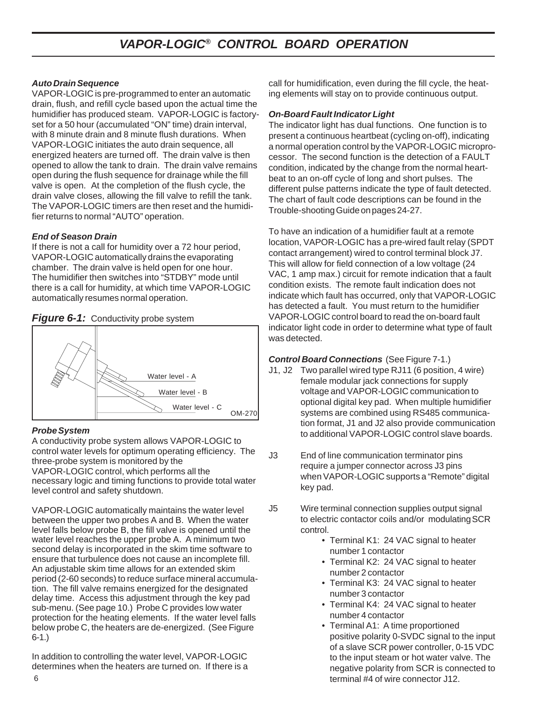#### *Auto Drain Sequence*

VAPOR-LOGIC is pre-programmed to enter an automatic drain, flush, and refill cycle based upon the actual time the humidifier has produced steam. VAPOR-LOGIC is factoryset for a 50 hour (accumulated "ON" time) drain interval, with 8 minute drain and 8 minute flush durations. When VAPOR-LOGIC initiates the auto drain sequence, all energized heaters are turned off. The drain valve is then opened to allow the tank to drain. The drain valve remains open during the flush sequence for drainage while the fill valve is open. At the completion of the flush cycle, the drain valve closes, allowing the fill valve to refill the tank. The VAPOR-LOGIC timers are then reset and the humidifier returns to normal "AUTO" operation.

#### *End of Season Drain*

If there is not a call for humidity over a 72 hour period, VAPOR-LOGIC automatically drains the evaporating chamber. The drain valve is held open for one hour. The humidifier then switches into "STDBY" mode until there is a call for humidity, at which time VAPOR-LOGIC automatically resumes normal operation.



#### **Figure 6-1:** Conductivity probe system

#### *Probe System*

A conductivity probe system allows VAPOR-LOGIC to control water levels for optimum operating efficiency. The three-probe system is monitored by the VAPOR-LOGIC control, which performs all the necessary logic and timing functions to provide total water level control and safety shutdown.

VAPOR-LOGIC automatically maintains the water level between the upper two probes A and B. When the water level falls below probe B, the fill valve is opened until the water level reaches the upper probe A. A minimum two second delay is incorporated in the skim time software to ensure that turbulence does not cause an incomplete fill. An adjustable skim time allows for an extended skim period (2-60 seconds) to reduce surface mineral accumulation. The fill valve remains energized for the designated delay time. Access this adjustment through the key pad sub-menu. (See page 10.) Probe C provides low water protection for the heating elements. If the water level falls below probe C, the heaters are de-energized. (See Figure 6-1.)

In addition to controlling the water level, VAPOR-LOGIC determines when the heaters are turned on. If there is a

call for humidification, even during the fill cycle, the heating elements will stay on to provide continuous output.

#### *On-Board Fault Indicator Light*

The indicator light has dual functions. One function is to present a continuous heartbeat (cycling on-off), indicating a normal operation control by the VAPOR-LOGIC microprocessor. The second function is the detection of a FAULT condition, indicated by the change from the normal heartbeat to an on-off cycle of long and short pulses. The different pulse patterns indicate the type of fault detected. The chart of fault code descriptions can be found in the Trouble-shooting Guide on pages 24-27.

To have an indication of a humidifier fault at a remote location, VAPOR-LOGIC has a pre-wired fault relay (SPDT contact arrangement) wired to control terminal block J7. This will allow for field connection of a low voltage (24 VAC, 1 amp max.) circuit for remote indication that a fault condition exists. The remote fault indication does not indicate which fault has occurred, only that VAPOR-LOGIC has detected a fault. You must return to the humidifier VAPOR-LOGIC control board to read the on-board fault indicator light code in order to determine what type of fault was detected.

#### *Control Board Connections* (See Figure 7-1.)

- J1, J2 Two parallel wired type RJ11 (6 position, 4 wire) female modular jack connections for supply voltage and VAPOR-LOGIC communication to optional digital key pad. When multiple humidifier systems are combined using RS485 communication format, J1 and J2 also provide communication to additional VAPOR-LOGIC control slave boards.
- J3 End of line communication terminator pins require a jumper connector across J3 pins when VAPOR-LOGIC supports a "Remote" digital key pad.
- J5 Wire terminal connection supplies output signal to electric contactor coils and/or modulating SCR control.
	- Terminal K1: 24 VAC signal to heater number 1 contactor
	- Terminal K2: 24 VAC signal to heater number 2 contactor
	- Terminal K3: 24 VAC signal to heater number 3 contactor
	- Terminal K4: 24 VAC signal to heater number 4 contactor
	- Terminal A1: A time proportioned positive polarity 0-SVDC signal to the input of a slave SCR power controller, 0-15 VDC to the input steam or hot water valve. The negative polarity from SCR is connected to terminal #4 of wire connector J12.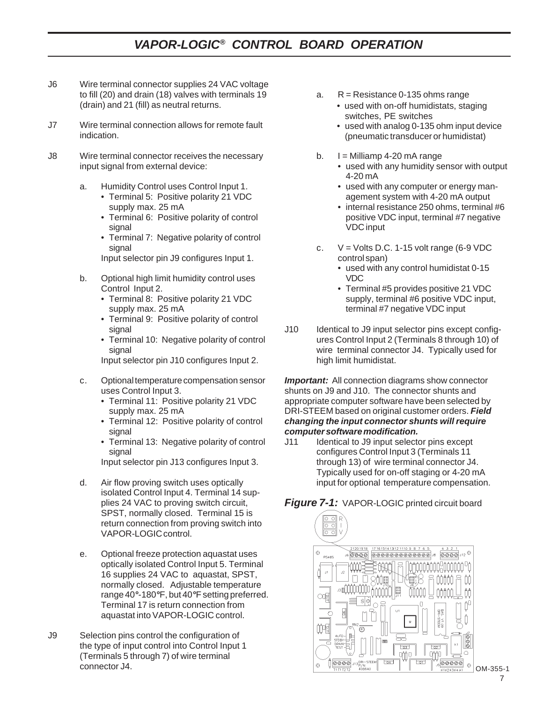### *VAPOR-LOGIC® CONTROL BOARD OPERATION*

- J6 Wire terminal connector supplies 24 VAC voltage to fill (20) and drain (18) valves with terminals 19 (drain) and 21 (fill) as neutral returns.
- J7 Wire terminal connection allows for remote fault indication.
- J8 Wire terminal connector receives the necessary input signal from external device:
	- a. Humidity Control uses Control Input 1.
		- Terminal 5: Positive polarity 21 VDC supply max. 25 mA
		- Terminal 6: Positive polarity of control signal
		- Terminal 7: Negative polarity of control signal
		- Input selector pin J9 configures Input 1.
	- b. Optional high limit humidity control uses Control Input 2.
		- Terminal 8: Positive polarity 21 VDC supply max. 25 mA
		- Terminal 9: Positive polarity of control signal
		- Terminal 10: Negative polarity of control signal

Input selector pin J10 configures Input 2.

- c. Optional temperature compensation sensor uses Control Input 3.
	- Terminal 11: Positive polarity 21 VDC supply max. 25 mA
	- Terminal 12: Positive polarity of control signal
	- Terminal 13: Negative polarity of control signal

Input selector pin J13 configures Input 3.

- d. Air flow proving switch uses optically isolated Control Input 4. Terminal 14 supplies 24 VAC to proving switch circuit, SPST, normally closed. Terminal 15 is return connection from proving switch into VAPOR-LOGIC control.
- e. Optional freeze protection aquastat uses optically isolated Control Input 5. Terminal 16 supplies 24 VAC to aquastat, SPST, normally closed. Adjustable temperature range 40*°*-180*°*F, but 40*°*F setting preferred. Terminal 17 is return connection from aquastat into VAPOR-LOGIC control.
- J9 Selection pins control the configuration of the type of input control into Control Input 1 (Terminals 5 through 7) of wire terminal connector J4.
- a.  $R =$  Resistance 0-135 ohms range
	- used with on-off humidistats, staging switches, PE switches
	- used with analog 0-135 ohm input device (pneumatic transducer or humidistat)
- b.  $I =$  Milliamp 4-20 mA range
	- used with any humidity sensor with output 4-20 mA
	- used with any computer or energy management system with 4-20 mA output
	- internal resistance 250 ohms, terminal #6 positive VDC input, terminal #7 negative VDC input
- c.  $V = Volts D.C. 1-15 volt range (6-9 VDC)$ control span)
	- used with any control humidistat 0-15 VDC
	- Terminal #5 provides positive 21 VDC supply, terminal #6 positive VDC input, terminal #7 negative VDC input
- J10 Identical to J9 input selector pins except configures Control Input 2 (Terminals 8 through 10) of wire terminal connector J4. Typically used for high limit humidistat.

*Important:* All connection diagrams show connector shunts on J9 and J10. The connector shunts and appropriate computer software have been selected by DRI-STEEM based on original customer orders. *Field changing the input connector shunts will require computer software modification.*

J11 Identical to J9 input selector pins except configures Control Input 3 (Terminals 11 through 13) of wire terminal connector J4. Typically used for on-off staging or 4-20 mA input for optional temperature compensation.

*Figure 7-1:* VAPOR-LOGIC printed circuit board

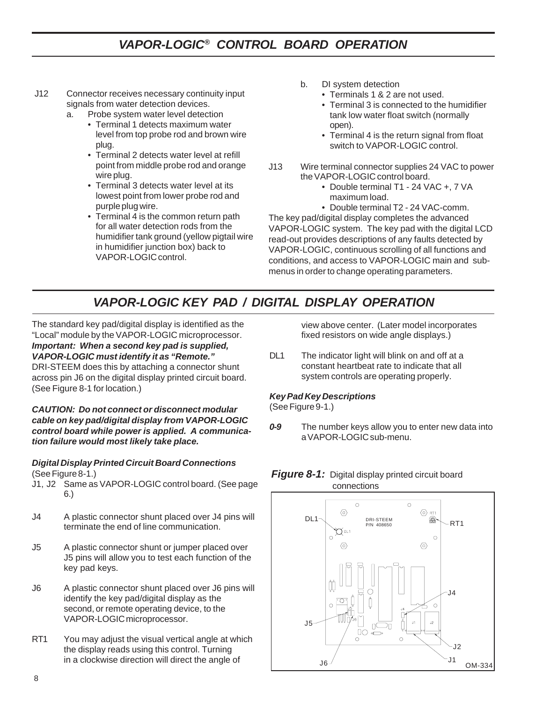# *VAPOR-LOGIC® CONTROL BOARD OPERATION*

- J12 Connector receives necessary continuity input signals from water detection devices.
	- a. Probe system water level detection
		- Terminal 1 detects maximum water level from top probe rod and brown wire plug.
		- Terminal 2 detects water level at refill point from middle probe rod and orange wire plug.
		- Terminal 3 detects water level at its lowest point from lower probe rod and purple plug wire.
		- Terminal 4 is the common return path for all water detection rods from the humidifier tank ground (yellow pigtail wire in humidifier junction box) back to VAPOR-LOGIC control.
- b. DI system detection
	- Terminals 1 & 2 are not used.
	- Terminal 3 is connected to the humidifier tank low water float switch (normally open).
	- Terminal 4 is the return signal from float switch to VAPOR-LOGIC control.
- J13 Wire terminal connector supplies 24 VAC to power the VAPOR-LOGIC control board.
	- Double terminal T1 24 VAC +, 7 VA maximum load.
	- Double terminal T2 24 VAC-comm.

The key pad/digital display completes the advanced VAPOR-LOGIC system. The key pad with the digital LCD read-out provides descriptions of any faults detected by VAPOR-LOGIC, continuous scrolling of all functions and conditions, and access to VAPOR-LOGIC main and submenus in order to change operating parameters.

# *VAPOR-LOGIC KEY PAD / DIGITAL DISPLAY OPERATION*

The standard key pad/digital display is identified as the "Local" module by the VAPOR-LOGIC microprocessor. *Important: When a second key pad is supplied, VAPOR-LOGIC must identify it as "Remote."* DRI-STEEM does this by attaching a connector shunt

across pin J6 on the digital display printed circuit board. (See Figure 8-1 for location.)

*CAUTION: Do not connect or disconnect modular cable on key pad/digital display from VAPOR-LOGIC control board while power is applied. A communication failure would most likely take place.*

#### *Digital Display Printed Circuit Board Connections* (See Figure 8-1.)

- J1, J2 Same as VAPOR-LOGIC control board. (See page 6.)
- J4 A plastic connector shunt placed over J4 pins will terminate the end of line communication.
- J5 A plastic connector shunt or jumper placed over J5 pins will allow you to test each function of the key pad keys.
- J6 A plastic connector shunt placed over J6 pins will identify the key pad/digital display as the second, or remote operating device, to the VAPOR-LOGIC microprocessor.
- RT1 You may adjust the visual vertical angle at which the display reads using this control. Turning in a clockwise direction will direct the angle of

view above center. (Later model incorporates fixed resistors on wide angle displays.)

DL1 The indicator light will blink on and off at a constant heartbeat rate to indicate that all system controls are operating properly.

#### *Key Pad Key Descriptions*

(See Figure 9-1.)

*0-9* The number keys allow you to enter new data into a VAPOR-LOGIC sub-menu.



# **Figure 8-1:** Digital display printed circuit board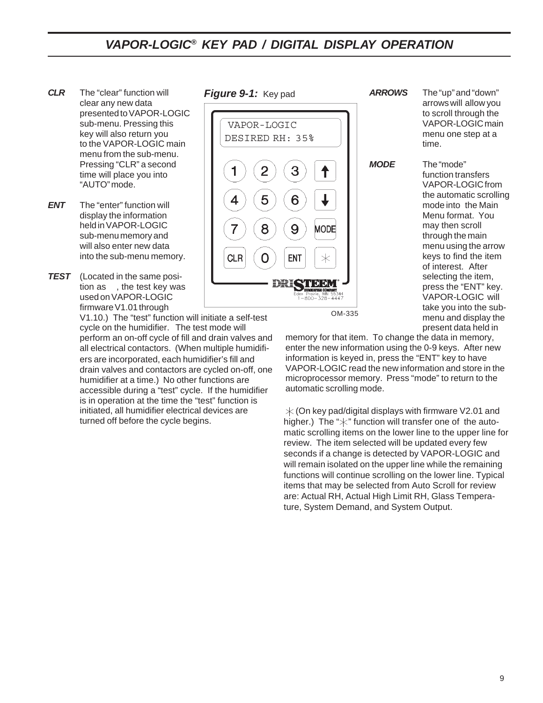### *VAPOR-LOGIC® KEY PAD / DIGITAL DISPLAY OPERATION*

- *CLR* The "clear" function will clear any new data presented to VAPOR-LOGIC sub-menu. Pressing this key will also return you to the VAPOR-LOGIC main menu from the sub-menu. Pressing "CLR" a second time will place you into "AUTO" mode.
- **ENT** The "enter" function will display the information held in VAPOR-LOGIC sub-menu memory and will also enter new data into the sub-menu memory.
- *TEST* (Located in the same position as , the test key was used on VAPOR-LOGIC firmware V1.01 through

ers are incorporated, each humidifier's fill and drain valves and contactors are cycled on-off, one humidifier at a time.) No other functions are accessible during a "test" cycle. If the humidifier is in operation at the time the "test" function is initiated, all humidifier electrical devices are turned off before the cycle begins. V1.10.) The "test" function will initiate a self-test cycle on the humidifier. The test mode will perform an on-off cycle of fill and drain valves and all electrical contactors. (When multiple humidifi-

*Figure 9-1:* Key pad



*ARROWS* The "up" and "down" arrows will allow you to scroll through the VAPOR-LOGIC main menu one step at a time. *MODE* The "mode" function transfers VAPOR-LOGIC from the automatic scrolling mode into the Main Menu format. You may then scroll through the main menu using the arrow keys to find the item of interest. After selecting the item, press the "ENT" key. VAPOR-LOGIC will

> take you into the submenu and display the present data held in

OM-335

memory for that item. To change the data in memory, enter the new information using the 0-9 keys. After new information is keyed in, press the "ENT" key to have VAPOR-LOGIC read the new information and store in the microprocessor memory. Press "mode" to return to the automatic scrolling mode.

 $\angle$  (On key pad/digital displays with firmware V2.01 and higher.) The " $\times$ " function will transfer one of the automatic scrolling items on the lower line to the upper line for review. The item selected will be updated every few seconds if a change is detected by VAPOR-LOGIC and will remain isolated on the upper line while the remaining functions will continue scrolling on the lower line. Typical items that may be selected from Auto Scroll for review are: Actual RH, Actual High Limit RH, Glass Temperature, System Demand, and System Output.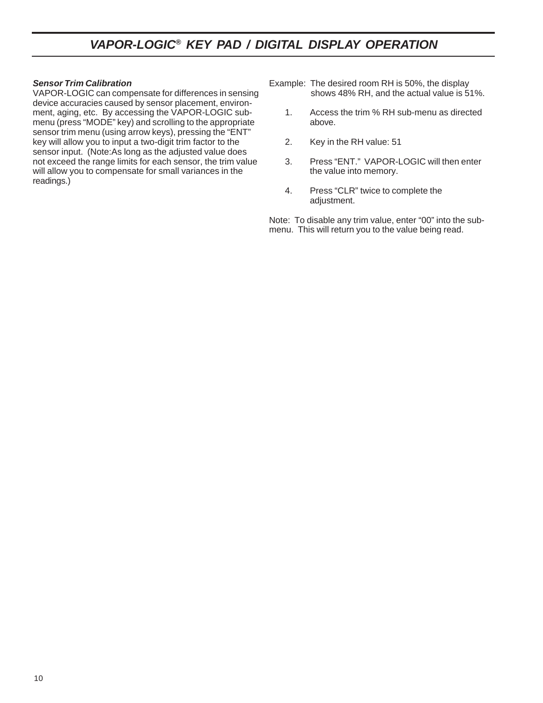### *VAPOR-LOGIC® KEY PAD / DIGITAL DISPLAY OPERATION*

#### *Sensor Trim Calibration*

VAPOR-LOGIC can compensate for differences in sensing device accuracies caused by sensor placement, environment, aging, etc. By accessing the VAPOR-LOGIC submenu (press "MODE" key) and scrolling to the appropriate sensor trim menu (using arrow keys), pressing the "ENT" key will allow you to input a two-digit trim factor to the sensor input. (Note:As long as the adjusted value does not exceed the range limits for each sensor, the trim value will allow you to compensate for small variances in the readings.)

Example: The desired room RH is 50%, the display shows 48% RH, and the actual value is 51%.

- 1. Access the trim % RH sub-menu as directed above.
- 2. Key in the RH value: 51
- 3. Press "ENT." VAPOR-LOGIC will then enter the value into memory.
- 4. Press "CLR" twice to complete the adjustment.

Note: To disable any trim value, enter "00" into the submenu. This will return you to the value being read.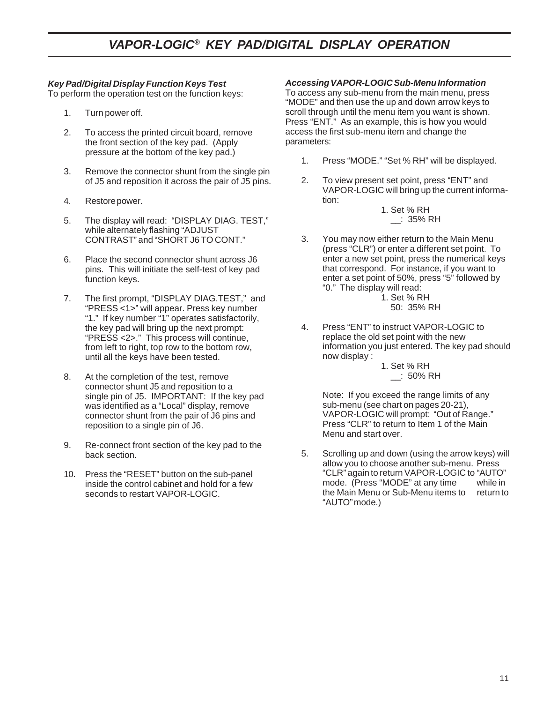#### *Key Pad/Digital Display Function Keys Test*

To perform the operation test on the function keys:

- 1. Turn power off.
- 2. To access the printed circuit board, remove the front section of the key pad. (Apply pressure at the bottom of the key pad.)
- 3. Remove the connector shunt from the single pin of J5 and reposition it across the pair of J5 pins.
- 4. Restore power.
- 5. The display will read: "DISPLAY DIAG. TEST," while alternately flashing "ADJUST CONTRAST" and "SHORT J6 TO CONT."
- 6. Place the second connector shunt across J6 pins. This will initiate the self-test of key pad function keys.
- 7. The first prompt, "DISPLAY DIAG.TEST," and "PRESS <1>" will appear. Press key number "1." If key number "1" operates satisfactorily, the key pad will bring up the next prompt: "PRESS <2>." This process will continue, from left to right, top row to the bottom row, until all the keys have been tested.
- 8. At the completion of the test, remove connector shunt J5 and reposition to a single pin of J5. IMPORTANT: If the key pad was identified as a "Local" display, remove connector shunt from the pair of J6 pins and reposition to a single pin of J6.
- 9. Re-connect front section of the key pad to the back section.
- 10. Press the "RESET" button on the sub-panel inside the control cabinet and hold for a few seconds to restart VAPOR-LOGIC.

#### *Accessing VAPOR-LOGIC Sub-Menu Information*

To access any sub-menu from the main menu, press "MODE" and then use the up and down arrow keys to scroll through until the menu item you want is shown. Press "ENT." As an example, this is how you would access the first sub-menu item and change the parameters:

- 1. Press "MODE." "Set % RH" will be displayed.
- 2. To view present set point, press "ENT" and VAPOR-LOGIC will bring up the current information:
	- 1. Set % RH \_\_: 35% RH
- 3. You may now either return to the Main Menu (press "CLR") or enter a different set point. To enter a new set point, press the numerical keys that correspond. For instance, if you want to enter a set point of 50%, press "5" followed by "0." The display will read:
	- 1. Set % RH 50: 35% RH
- 4. Press "ENT" to instruct VAPOR-LOGIC to replace the old set point with the new information you just entered. The key pad should now display :

1. Set % RH \_\_: 50% RH

Note: If you exceed the range limits of any sub-menu (see chart on pages 20-21), VAPOR-LOGIC will prompt: "Out of Range." Press "CLR" to return to Item 1 of the Main Menu and start over.

5. Scrolling up and down (using the arrow keys) will allow you to choose another sub-menu. Press "CLR" again to return VAPOR-LOGIC to "AUTO" mode. (Press "MODE" at any time while in<br>the Main Menu or Sub-Menu items to return to the Main Menu or Sub-Menu items to "AUTO" mode.)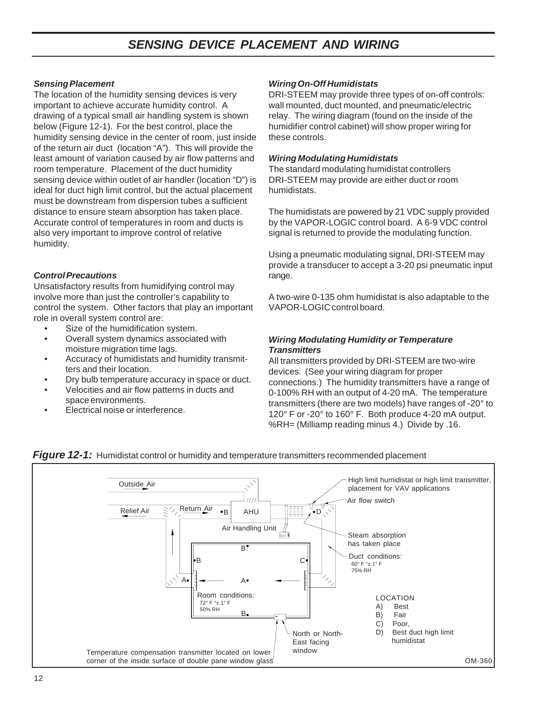### *SENSING DEVICE PLACEMENT AND WIRING*

#### *Sensing Placement*

The location of the humidity sensing devices is very important to achieve accurate humidity control. A drawing of a typical small air handling system is shown below (Figure 12-1). For the best control, place the humidity sensing device in the center of room, just inside of the return air duct (location "A"). This will provide the least amount of variation caused by air flow patterns and room temperature. Placement of the duct humidity sensing device within outlet of air handler (location "D") is ideal for duct high limit control, but the actual placement must be downstream from dispersion tubes a sufficient distance to ensure steam absorption has taken place. Accurate control of temperatures in room and ducts is also very important to improve control of relative humidity.

#### *Control Precautions*

Unsatisfactory results from humidifying control may involve more than just the controller's capability to control the system. Other factors that play an important role in overall system control are:

- Size of the humidification system.
- Overall system dynamics associated with moisture migration time lags.
- Accuracy of humidistats and humidity transmitters and their location.
- Dry bulb temperature accuracy in space or duct.
- Velocities and air flow patterns in ducts and space environments.
- Electrical noise or interference.

#### *Wiring On-Off Humidistats*

DRI-STEEM may provide three types of on-off controls: wall mounted, duct mounted, and pneumatic/electric relay. The wiring diagram (found on the inside of the humidifier control cabinet) will show proper wiring for these controls.

#### *Wiring Modulating Humidistats*

The standard modulating humidistat controllers DRI-STEEM may provide are either duct or room humidistats.

The humidistats are powered by 21 VDC supply provided by the VAPOR-LOGIC control board. A 6-9 VDC control signal is returned to provide the modulating function.

Using a pneumatic modulating signal, DRI-STEEM may provide a transducer to accept a 3-20 psi pneumatic input range.

A two-wire 0-135 ohm humidistat is also adaptable to the VAPOR-LOGIC control board.

#### *Wiring Modulating Humidity or Temperature Transmitters*

All transmitters provided by DRI-STEEM are two-wire devices. (See your wiring diagram for proper connections.) The humidity transmitters have a range of 0-100% RH with an output of 4-20 mA. The temperature transmitters (there are two models) have ranges of -20° to 120° F or -20° to 160° F. Both produce 4-20 mA output. %RH= (Milliamp reading minus 4.) Divide by .16.



#### **Figure 12-1:** Humidistat control or humidity and temperature transmitters recommended placement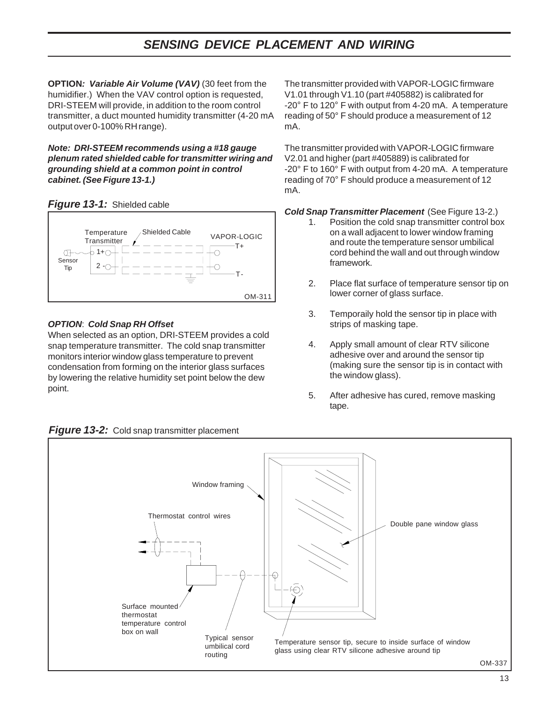### *SENSING DEVICE PLACEMENT AND WIRING*

**OPTION***: Variable Air Volume (VAV)* (30 feet from the humidifier.) When the VAV control option is requested, DRI-STEEM will provide, in addition to the room control transmitter, a duct mounted humidity transmitter (4-20 mA output over 0-100% RH range).

*Note: DRI-STEEM recommends using a #18 gauge plenum rated shielded cable for transmitter wiring and grounding shield at a common point in control cabinet. (See Figure 13-1.)*





#### *OPTION*: *Cold Snap RH Offset*

When selected as an option, DRI-STEEM provides a cold snap temperature transmitter. The cold snap transmitter monitors interior window glass temperature to prevent condensation from forming on the interior glass surfaces by lowering the relative humidity set point below the dew point.

The transmitter provided with VAPOR-LOGIC firmware V1.01 through V1.10 (part #405882) is calibrated for -20° F to 120° F with output from 4-20 mA. A temperature reading of 50° F should produce a measurement of 12 mA.

The transmitter provided with VAPOR-LOGIC firmware V2.01 and higher (part #405889) is calibrated for -20° F to 160° F with output from 4-20 mA. A temperature reading of 70° F should produce a measurement of 12 mA.

*Cold Snap Transmitter Placement* (See Figure 13-2.)

- 1. Position the cold snap transmitter control box on a wall adjacent to lower window framing and route the temperature sensor umbilical cord behind the wall and out through window framework.
- 2. Place flat surface of temperature sensor tip on lower corner of glass surface.
- 3. Temporaily hold the sensor tip in place with strips of masking tape.
- 4. Apply small amount of clear RTV silicone adhesive over and around the sensor tip (making sure the sensor tip is in contact with the window glass).
- 5. After adhesive has cured, remove masking tape.



#### **Figure 13-2:** Cold snap transmitter placement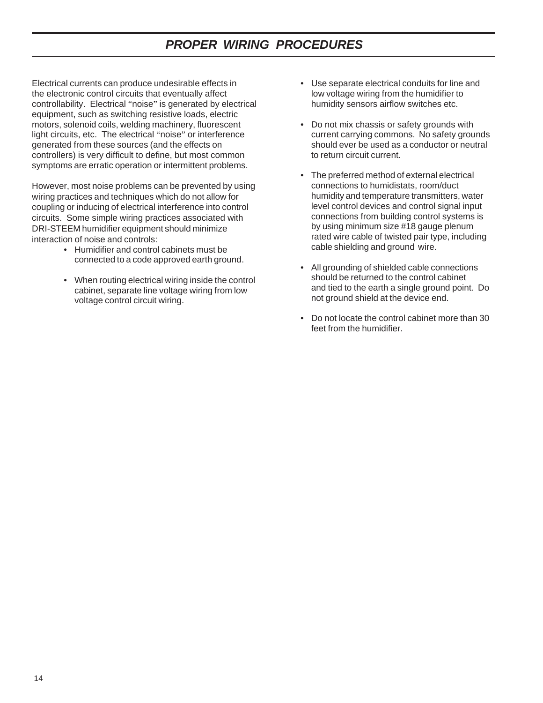### *PROPER WIRING PROCEDURES*

Electrical currents can produce undesirable effects in the electronic control circuits that eventually affect controllability. Electrical "noise" is generated by electrical equipment, such as switching resistive loads, electric motors, solenoid coils, welding machinery, fluorescent light circuits, etc. The electrical "noise" or interference generated from these sources (and the effects on controllers) is very difficult to define, but most common symptoms are erratic operation or intermittent problems.

However, most noise problems can be prevented by using wiring practices and techniques which do not allow for coupling or inducing of electrical interference into control circuits. Some simple wiring practices associated with DRI-STEEM humidifier equipment should minimize interaction of noise and controls:

- Humidifier and control cabinets must be connected to a code approved earth ground.
- When routing electrical wiring inside the control cabinet, separate line voltage wiring from low voltage control circuit wiring.
- Use separate electrical conduits for line and low voltage wiring from the humidifier to humidity sensors airflow switches etc.
- Do not mix chassis or safety grounds with current carrying commons. No safety grounds should ever be used as a conductor or neutral to return circuit current.
- The preferred method of external electrical connections to humidistats, room/duct humidity and temperature transmitters, water level control devices and control signal input connections from building control systems is by using minimum size #18 gauge plenum rated wire cable of twisted pair type, including cable shielding and ground wire.
- All grounding of shielded cable connections should be returned to the control cabinet and tied to the earth a single ground point. Do not ground shield at the device end.
- Do not locate the control cabinet more than 30 feet from the humidifier.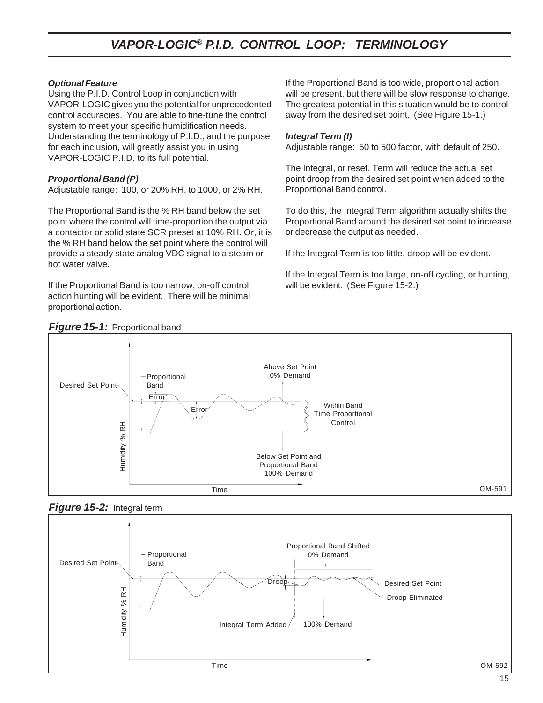# *VAPOR-LOGIC® P.I.D. CONTROL LOOP: TERMINOLOGY*

#### *Optional Feature*

Using the P.I.D. Control Loop in conjunction with VAPOR-LOGIC gives you the potential for unprecedented control accuracies. You are able to fine-tune the control system to meet your specific humidification needs. Understanding the terminology of P.I.D., and the purpose for each inclusion, will greatly assist you in using VAPOR-LOGIC P.I.D. to its full potential.

#### *Proportional Band (P)*

Adjustable range: 100, or 20% RH, to 1000, or 2% RH.

The Proportional Band is the % RH band below the set point where the control will time-proportion the output via a contactor or solid state SCR preset at 10% RH. Or, it is the % RH band below the set point where the control will provide a steady state analog VDC signal to a steam or hot water valve.

If the Proportional Band is too narrow, on-off control action hunting will be evident. There will be minimal proportional action.

If the Proportional Band is too wide, proportional action will be present, but there will be slow response to change. The greatest potential in this situation would be to control away from the desired set point. (See Figure 15-1.)

#### *Integral Term (I)*

Adjustable range: 50 to 500 factor, with default of 250.

The Integral, or reset, Term will reduce the actual set point droop from the desired set point when added to the Proportional Band control.

To do this, the Integral Term algorithm actually shifts the Proportional Band around the desired set point to increase or decrease the output as needed.

If the Integral Term is too little, droop will be evident.

If the Integral Term is too large, on-off cycling, or hunting, will be evident. (See Figure 15-2.)





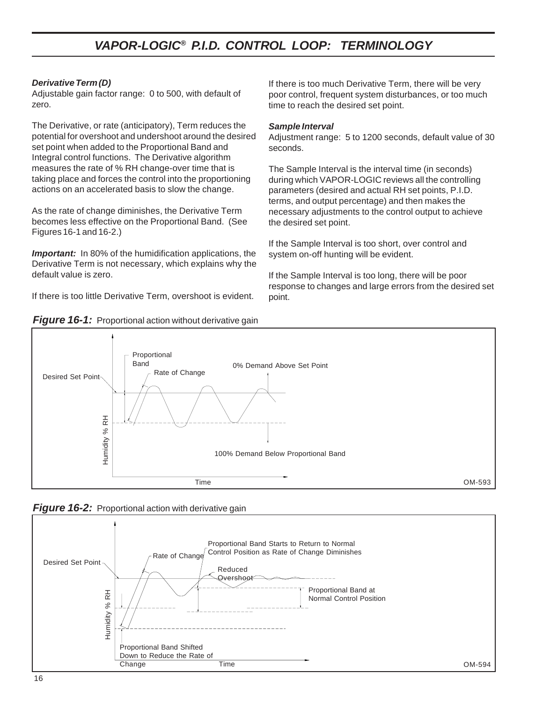### *VAPOR-LOGIC® P.I.D. CONTROL LOOP: TERMINOLOGY*

#### *Derivative Term (D)*

Adjustable gain factor range: 0 to 500, with default of zero.

The Derivative, or rate (anticipatory), Term reduces the potential for overshoot and undershoot around the desired set point when added to the Proportional Band and Integral control functions. The Derivative algorithm measures the rate of % RH change-over time that is taking place and forces the control into the proportioning actions on an accelerated basis to slow the change.

As the rate of change diminishes, the Derivative Term becomes less effective on the Proportional Band. (See Figures 16-1 and 16-2.)

*Important:* In 80% of the humidification applications, the Derivative Term is not necessary, which explains why the default value is zero.

If there is too little Derivative Term, overshoot is evident.

If there is too much Derivative Term, there will be very poor control, frequent system disturbances, or too much time to reach the desired set point.

#### *Sample Interval*

Adjustment range: 5 to 1200 seconds, default value of 30 seconds.

The Sample Interval is the interval time (in seconds) during which VAPOR-LOGIC reviews all the controlling parameters (desired and actual RH set points, P.I.D. terms, and output percentage) and then makes the necessary adjustments to the control output to achieve the desired set point.

If the Sample Interval is too short, over control and system on-off hunting will be evident.

If the Sample Interval is too long, there will be poor response to changes and large errors from the desired set point.





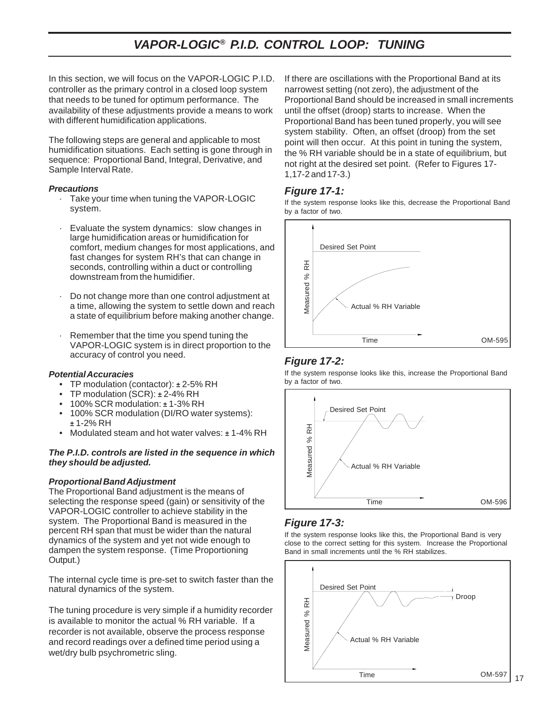# *VAPOR-LOGIC® P.I.D. CONTROL LOOP: TUNING*

In this section, we will focus on the VAPOR-LOGIC P.I.D. controller as the primary control in a closed loop system that needs to be tuned for optimum performance. The availability of these adjustments provide a means to work with different humidification applications.

The following steps are general and applicable to most humidification situations. Each setting is gone through in sequence: Proportional Band, Integral, Derivative, and Sample Interval Rate.

#### *Precautions*

- · Take your time when tuning the VAPOR-LOGIC system.
- Evaluate the system dynamics: slow changes in large humidification areas or humidification for comfort, medium changes for most applications, and fast changes for system RH's that can change in seconds, controlling within a duct or controlling downstream from the humidifier.
- · Do not change more than one control adjustment at a time, allowing the system to settle down and reach a state of equilibrium before making another change.
- Remember that the time you spend tuning the VAPOR-LOGIC system is in direct proportion to the accuracy of control you need.

#### *Potential Accuracies*

- TP modulation (contactor): *±* 2-5% RH
- TP modulation (SCR): *±* 2-4% RH
- 100% SCR modulation: *±* 1-3% RH
- 100% SCR modulation (DI/RO water systems): *±* 1-2% RH
- Modulated steam and hot water valves: *±* 1-4% RH

#### *The P.I.D. controls are listed in the sequence in which they should be adjusted.*

#### *Proportional Band Adjustment*

The Proportional Band adjustment is the means of selecting the response speed (gain) or sensitivity of the VAPOR-LOGIC controller to achieve stability in the system. The Proportional Band is measured in the percent RH span that must be wider than the natural dynamics of the system and yet not wide enough to dampen the system response. (Time Proportioning Output.)

The internal cycle time is pre-set to switch faster than the natural dynamics of the system.

The tuning procedure is very simple if a humidity recorder is available to monitor the actual % RH variable. If a recorder is not available, observe the process response and record readings over a defined time period using a wet/dry bulb psychrometric sling.

If there are oscillations with the Proportional Band at its narrowest setting (not zero), the adjustment of the Proportional Band should be increased in small increments until the offset (droop) starts to increase. When the Proportional Band has been tuned properly, you will see system stability. Often, an offset (droop) from the set point will then occur. At this point in tuning the system, the % RH variable should be in a state of equilibrium, but not right at the desired set point. (Refer to Figures 17- 1,17-2 and 17-3.)

#### *Figure 17-1:*

If the system response looks like this, decrease the Proportional Band by a factor of two.



#### *Figure 17-2:*

If the system response looks like this, increase the Proportional Band



#### *Figure 17-3:*

If the system response looks like this, the Proportional Band is very close to the correct setting for this system. Increase the Proportional Band in small increments until the % RH stabilizes.

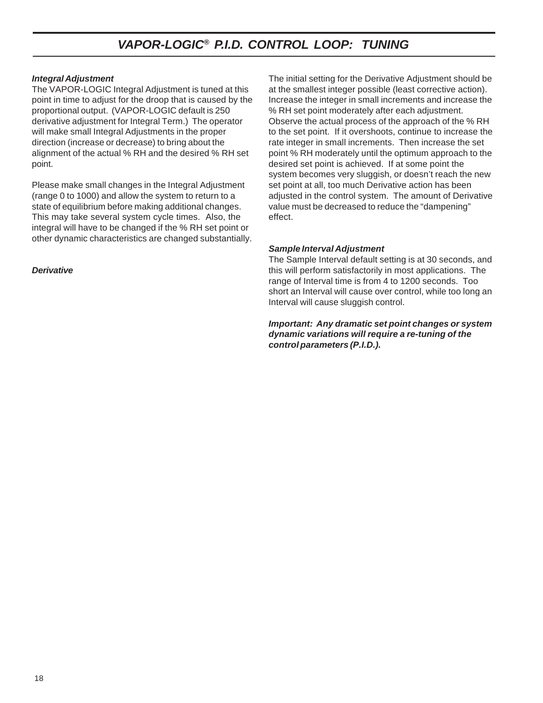### *VAPOR-LOGIC® P.I.D. CONTROL LOOP: TUNING*

#### *Integral Adjustment*

The VAPOR-LOGIC Integral Adjustment is tuned at this point in time to adjust for the droop that is caused by the proportional output. (VAPOR-LOGIC default is 250 derivative adjustment for Integral Term.) The operator will make small Integral Adjustments in the proper direction (increase or decrease) to bring about the alignment of the actual % RH and the desired % RH set point.

Please make small changes in the Integral Adjustment (range 0 to 1000) and allow the system to return to a state of equilibrium before making additional changes. This may take several system cycle times. Also, the integral will have to be changed if the % RH set point or other dynamic characteristics are changed substantially.

#### *Derivative*

The initial setting for the Derivative Adjustment should be at the smallest integer possible (least corrective action). Increase the integer in small increments and increase the % RH set point moderately after each adjustment. Observe the actual process of the approach of the % RH to the set point. If it overshoots, continue to increase the rate integer in small increments. Then increase the set point % RH moderately until the optimum approach to the desired set point is achieved. If at some point the system becomes very sluggish, or doesn't reach the new set point at all, too much Derivative action has been adjusted in the control system. The amount of Derivative value must be decreased to reduce the "dampening" effect.

#### *Sample Interval Adjustment*

The Sample Interval default setting is at 30 seconds, and this will perform satisfactorily in most applications. The range of Interval time is from 4 to 1200 seconds. Too short an Interval will cause over control, while too long an Interval will cause sluggish control.

*Important: Any dramatic set point changes or system dynamic variations will require a re-tuning of the control parameters (P.I.D.).*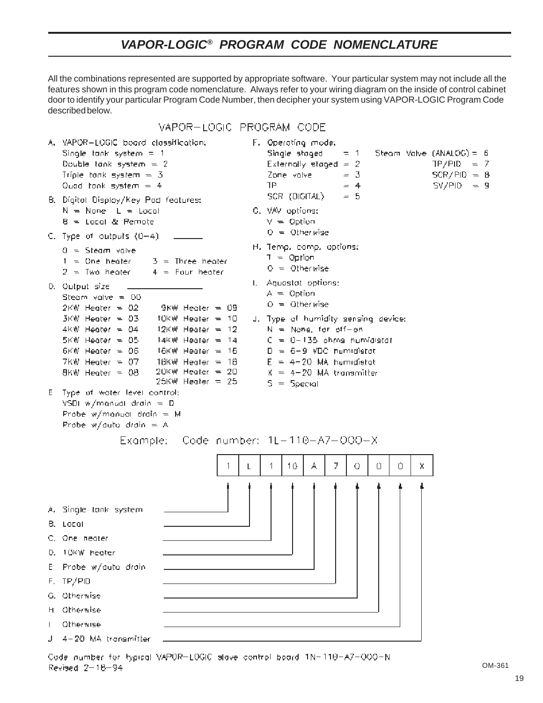# *VAPOR-LOGIC® PROGRAM CODE NOMENCLATURE*

All the combinations represented are supported by appropriate software. Your particular system may not include all the features shown in this program code nomenclature. Always refer to your wiring diagram on the inside of control cabinet door to identify your particular Program Code Number, then decipher your system using VAPOR-LOGIC Program Code described below.

VAPOR-LOGIC PROGRAM CODE



Revised 2-18-94

OM-361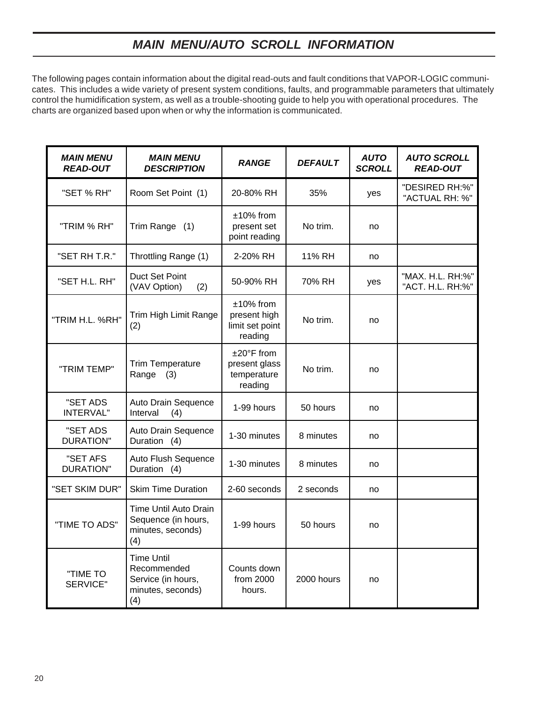# *MAIN MENU/AUTO SCROLL INFORMATION*

The following pages contain information about the digital read-outs and fault conditions that VAPOR-LOGIC communicates. This includes a wide variety of present system conditions, faults, and programmable parameters that ultimately control the humidification system, as well as a trouble-shooting guide to help you with operational procedures. The charts are organized based upon when or why the information is communicated.

| <b>MAIN MENU</b><br><b>READ-OUT</b> | <b>MAIN MENU</b><br><b>DESCRIPTION</b>                                             | <b>RANGE</b>                                                    | <b>DEFAULT</b> | <b>AUTO</b><br><b>SCROLL</b> | <b>AUTO SCROLL</b><br><b>READ-OUT</b> |
|-------------------------------------|------------------------------------------------------------------------------------|-----------------------------------------------------------------|----------------|------------------------------|---------------------------------------|
| "SET % RH"                          | Room Set Point (1)                                                                 | 20-80% RH                                                       | 35%            | yes                          | "DESIRED RH:%"<br>"ACTUAL RH: %"      |
| "TRIM % RH"                         | Trim Range (1)                                                                     | $±10\%$ from<br>present set<br>point reading                    | No trim.       | no                           |                                       |
| "SET RH T.R."                       | Throttling Range (1)                                                               | 2-20% RH                                                        | 11% RH         | no                           |                                       |
| "SET H.L. RH"                       | Duct Set Point<br>(VAV Option)<br>(2)                                              | 50-90% RH                                                       | 70% RH         | yes                          | "MAX. H.L. RH:%"<br>"ACT. H.L. RH:%"  |
| "TRIM H.L. %RH"                     | Trim High Limit Range<br>(2)                                                       | $±10\%$ from<br>present high<br>limit set point<br>reading      | No trim.       | no                           |                                       |
| "TRIM TEMP"                         | <b>Trim Temperature</b><br>Range<br>(3)                                            | $±20^{\circ}$ F from<br>present glass<br>temperature<br>reading | No trim.       | no                           |                                       |
| "SET ADS<br><b>INTERVAL"</b>        | Auto Drain Sequence<br>Interval<br>(4)                                             | 1-99 hours                                                      | 50 hours       | no                           |                                       |
| "SET ADS<br><b>DURATION"</b>        | Auto Drain Sequence<br>Duration (4)                                                | 1-30 minutes                                                    | 8 minutes      | no                           |                                       |
| "SET AFS<br><b>DURATION"</b>        | Auto Flush Sequence<br>Duration (4)                                                | 1-30 minutes                                                    | 8 minutes      | no                           |                                       |
| "SET SKIM DUR"                      | <b>Skim Time Duration</b>                                                          | 2-60 seconds                                                    | 2 seconds      | no                           |                                       |
| "TIME TO ADS"                       | Time Until Auto Drain<br>Sequence (in hours,<br>minutes, seconds)<br>(4)           | 1-99 hours                                                      | 50 hours       | no                           |                                       |
| "TIME TO<br><b>SERVICE"</b>         | <b>Time Until</b><br>Recommended<br>Service (in hours,<br>minutes, seconds)<br>(4) | Counts down<br>from 2000<br>hours.                              | 2000 hours     | no                           |                                       |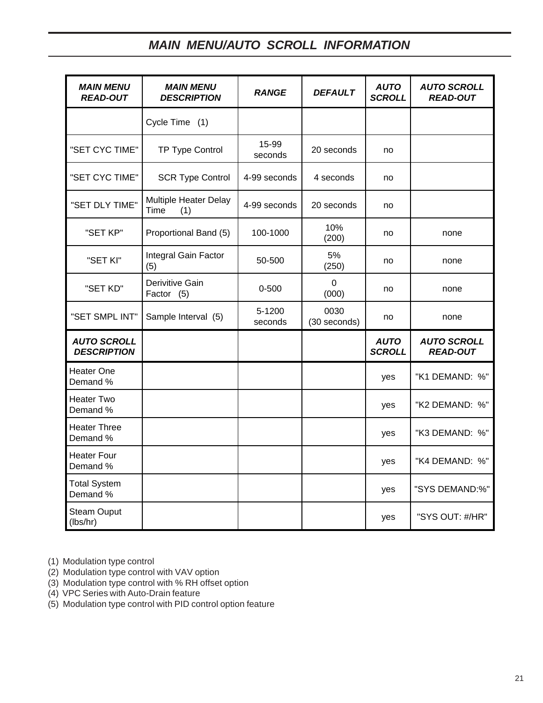# *MAIN MENU/AUTO SCROLL INFORMATION*

| <b>MAIN MENU</b><br><b>READ-OUT</b>      | <b>MAIN MENU</b><br><b>DESCRIPTION</b> | <b>RANGE</b>      | <b>DEFAULT</b>       | <b>AUTO</b><br><b>SCROLL</b> | <b>AUTO SCROLL</b><br><b>READ-OUT</b> |
|------------------------------------------|----------------------------------------|-------------------|----------------------|------------------------------|---------------------------------------|
|                                          | Cycle Time (1)                         |                   |                      |                              |                                       |
| "SET CYC TIME"                           | TP Type Control                        | 15-99<br>seconds  | 20 seconds           | no                           |                                       |
| "SET CYC TIME"                           | <b>SCR Type Control</b>                | 4-99 seconds      | 4 seconds            | no                           |                                       |
| "SET DLY TIME"                           | Multiple Heater Delay<br>Time<br>(1)   | 4-99 seconds      | 20 seconds           | no                           |                                       |
| "SET KP"                                 | Proportional Band (5)                  | 100-1000          | 10%<br>(200)         | no                           | none                                  |
| "SET KI"                                 | Integral Gain Factor<br>(5)            | 50-500            | 5%<br>(250)          | no                           | none                                  |
| "SET KD"                                 | Derivitive Gain<br>Factor (5)          | $0 - 500$         | $\Omega$<br>(000)    | no                           | none                                  |
| "SET SMPL INT"                           | Sample Interval (5)                    | 5-1200<br>seconds | 0030<br>(30 seconds) | no                           | none                                  |
| <b>AUTO SCROLL</b><br><b>DESCRIPTION</b> |                                        |                   |                      | <b>AUTO</b><br><b>SCROLL</b> | <b>AUTO SCROLL</b><br><b>READ-OUT</b> |
| <b>Heater One</b><br>Demand %            |                                        |                   |                      | yes                          | "K1 DEMAND: %"                        |
| <b>Heater Two</b><br>Demand %            |                                        |                   |                      | yes                          | "K2 DEMAND: %"                        |
| <b>Heater Three</b><br>Demand %          |                                        |                   |                      | yes                          | "K3 DEMAND: %"                        |
| <b>Heater Four</b><br>Demand %           |                                        |                   |                      | yes                          | "K4 DEMAND: %"                        |
| <b>Total System</b><br>Demand %          |                                        |                   |                      | yes                          | "SYS DEMAND:%"                        |
| <b>Steam Ouput</b><br>(lbs/hr)           |                                        |                   |                      | yes                          | "SYS OUT: #/HR"                       |

(1) Modulation type control

- (2) Modulation type control with VAV option
- (3) Modulation type control with % RH offset option
- (4) VPC Series with Auto-Drain feature
- (5) Modulation type control with PID control option feature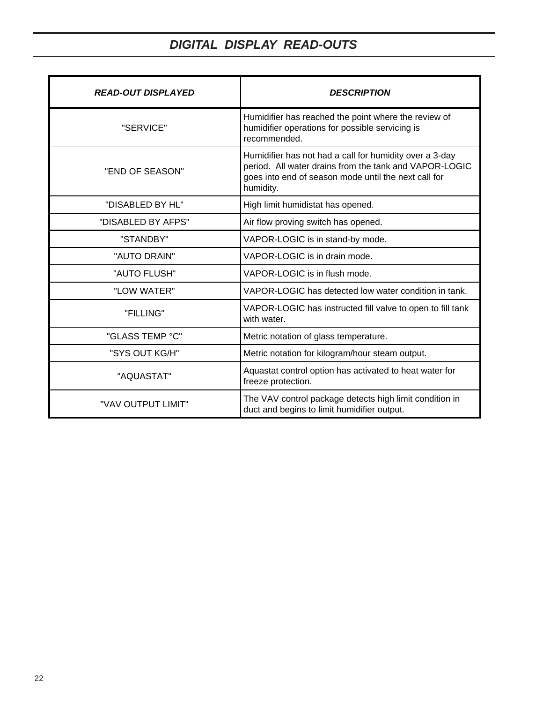# *DIGITAL DISPLAY READ-OUTS*

| <b>READ-OUT DISPLAYED</b> | <b>DESCRIPTION</b>                                                                                                                                                                     |
|---------------------------|----------------------------------------------------------------------------------------------------------------------------------------------------------------------------------------|
| "SERVICE"                 | Humidifier has reached the point where the review of<br>humidifier operations for possible servicing is<br>recommended.                                                                |
| "END OF SEASON"           | Humidifier has not had a call for humidity over a 3-day<br>period. All water drains from the tank and VAPOR-LOGIC<br>goes into end of season mode until the next call for<br>humidity. |
| "DISABLED BY HL"          | High limit humidistat has opened.                                                                                                                                                      |
| "DISABLED BY AFPS"        | Air flow proving switch has opened.                                                                                                                                                    |
| "STANDBY"                 | VAPOR-LOGIC is in stand-by mode.                                                                                                                                                       |
| "AUTO DRAIN"              | VAPOR-LOGIC is in drain mode.                                                                                                                                                          |
| "AUTO FLUSH"              | VAPOR-LOGIC is in flush mode.                                                                                                                                                          |
| "LOW WATER"               | VAPOR-LOGIC has detected low water condition in tank.                                                                                                                                  |
| "FILLING"                 | VAPOR-LOGIC has instructed fill valve to open to fill tank<br>with water.                                                                                                              |
| "GLASS TEMP °C"           | Metric notation of glass temperature.                                                                                                                                                  |
| "SYS OUT KG/H"            | Metric notation for kilogram/hour steam output.                                                                                                                                        |
| "AQUASTAT"                | Aquastat control option has activated to heat water for<br>freeze protection.                                                                                                          |
| "VAV OUTPUT LIMIT"        | The VAV control package detects high limit condition in<br>duct and begins to limit humidifier output.                                                                                 |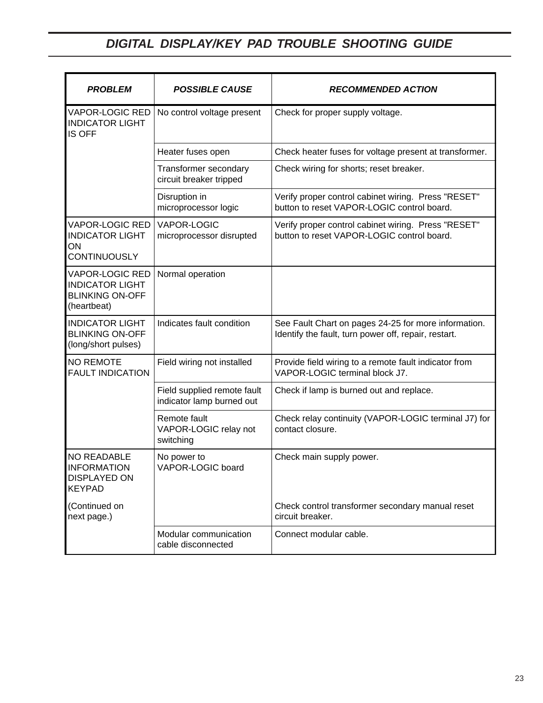# *DIGITAL DISPLAY/KEY PAD TROUBLE SHOOTING GUIDE*

| <b>PROBLEM</b>                                                                            | <b>POSSIBLE CAUSE</b>                                    | <b>RECOMMENDED ACTION</b>                                                                                    |
|-------------------------------------------------------------------------------------------|----------------------------------------------------------|--------------------------------------------------------------------------------------------------------------|
| <b>VAPOR-LOGIC RED</b><br><b>INDICATOR LIGHT</b><br><b>IS OFF</b>                         | No control voltage present                               | Check for proper supply voltage.                                                                             |
|                                                                                           | Heater fuses open                                        | Check heater fuses for voltage present at transformer.                                                       |
|                                                                                           | Transformer secondary<br>circuit breaker tripped         | Check wiring for shorts; reset breaker.                                                                      |
|                                                                                           | Disruption in<br>microprocessor logic                    | Verify proper control cabinet wiring. Press "RESET"<br>button to reset VAPOR-LOGIC control board.            |
| VAPOR-LOGIC RED<br><b>INDICATOR LIGHT</b><br>ON<br>CONTINUOUSLY                           | <b>VAPOR-LOGIC</b><br>microprocessor disrupted           | Verify proper control cabinet wiring. Press "RESET"<br>button to reset VAPOR-LOGIC control board.            |
| <b>VAPOR-LOGIC RED</b><br><b>INDICATOR LIGHT</b><br><b>BLINKING ON-OFF</b><br>(heartbeat) | Normal operation                                         |                                                                                                              |
| <b>INDICATOR LIGHT</b><br><b>BLINKING ON-OFF</b><br>(long/short pulses)                   | Indicates fault condition                                | See Fault Chart on pages 24-25 for more information.<br>Identify the fault, turn power off, repair, restart. |
| <b>NO REMOTE</b><br><b>FAULT INDICATION</b>                                               | Field wiring not installed                               | Provide field wiring to a remote fault indicator from<br>VAPOR-LOGIC terminal block J7.                      |
|                                                                                           | Field supplied remote fault<br>indicator lamp burned out | Check if lamp is burned out and replace.                                                                     |
|                                                                                           | Remote fault<br>VAPOR-LOGIC relay not<br>switching       | Check relay continuity (VAPOR-LOGIC terminal J7) for<br>contact closure.                                     |
| <b>NO READABLE</b><br><b>INFORMATION</b><br><b>DISPLAYED ON</b><br><b>KEYPAD</b>          | No power to<br>VAPOR-LOGIC board                         | Check main supply power.                                                                                     |
| (Continued on<br>next page.)                                                              |                                                          | Check control transformer secondary manual reset<br>circuit breaker.                                         |
|                                                                                           | Modular communication<br>cable disconnected              | Connect modular cable.                                                                                       |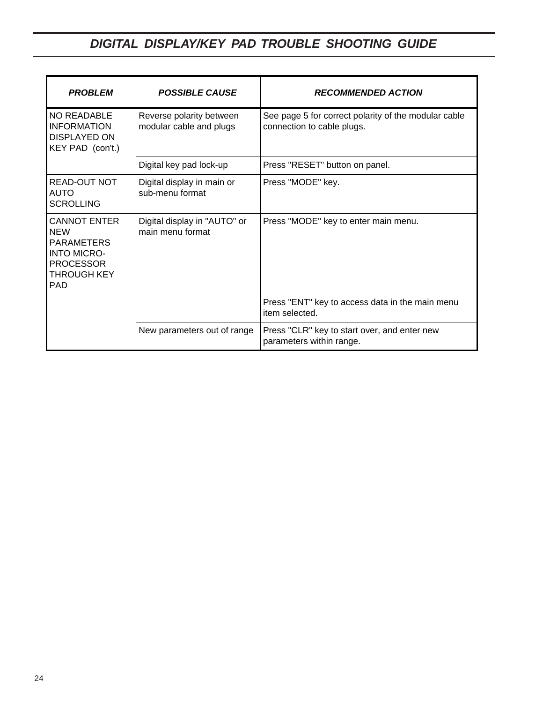# *DIGITAL DISPLAY/KEY PAD TROUBLE SHOOTING GUIDE*

| <b>PROBLEM</b>                                                                                                         | <b>POSSIBLE CAUSE</b>                               | <b>RECOMMENDED ACTION</b>                                                          |
|------------------------------------------------------------------------------------------------------------------------|-----------------------------------------------------|------------------------------------------------------------------------------------|
| NO READABLE<br><b>INFORMATION</b><br><b>DISPLAYED ON</b><br>KEY PAD (con't.)                                           | Reverse polarity between<br>modular cable and plugs | See page 5 for correct polarity of the modular cable<br>connection to cable plugs. |
|                                                                                                                        | Digital key pad lock-up                             | Press "RESET" button on panel.                                                     |
| READ-OUT NOT<br><b>AUTO</b><br><b>SCROLLING</b>                                                                        | Digital display in main or<br>sub-menu format       | Press "MODE" key.                                                                  |
| CANNOT ENTER<br><b>NEW</b><br><b>PARAMETERS</b><br><b>INTO MICRO-</b><br><b>PROCESSOR</b><br>THROUGH KEY<br><b>PAD</b> | Digital display in "AUTO" or<br>main menu format    | Press "MODE" key to enter main menu.                                               |
|                                                                                                                        |                                                     | Press "ENT" key to access data in the main menu<br>item selected.                  |
|                                                                                                                        | New parameters out of range                         | Press "CLR" key to start over, and enter new<br>parameters within range.           |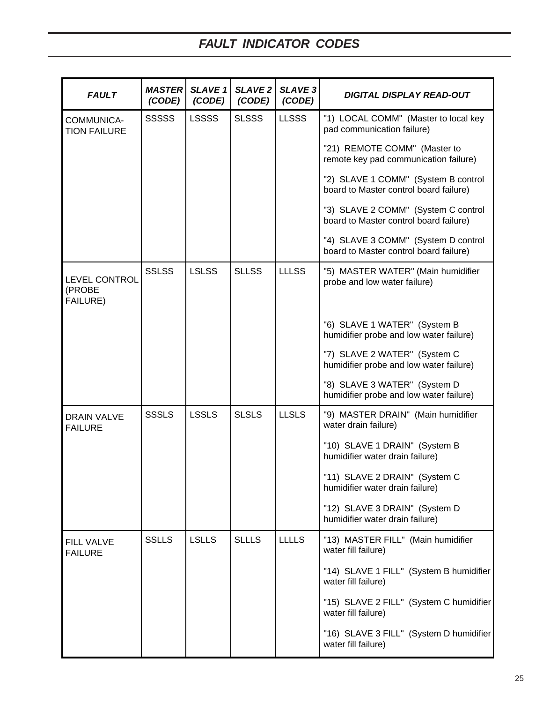| <b>FAULT</b>                         | <b>MASTER</b><br>(CODE) | <b>SLAVE 1</b><br>(CODE) | <b>SLAVE 2</b><br>(CODE) | <b>SLAVE 3</b><br>(CODE) | <b>DIGITAL DISPLAY READ-OUT</b>                                               |
|--------------------------------------|-------------------------|--------------------------|--------------------------|--------------------------|-------------------------------------------------------------------------------|
| COMMUNICA-<br><b>TION FAILURE</b>    | <b>SSSSS</b>            | <b>LSSSS</b>             | <b>SLSSS</b>             | <b>LLSSS</b>             | "1) LOCAL COMM" (Master to local key<br>pad communication failure)            |
|                                      |                         |                          |                          |                          | "21) REMOTE COMM" (Master to<br>remote key pad communication failure)         |
|                                      |                         |                          |                          |                          | "2) SLAVE 1 COMM" (System B control<br>board to Master control board failure) |
|                                      |                         |                          |                          |                          | "3) SLAVE 2 COMM" (System C control<br>board to Master control board failure) |
|                                      |                         |                          |                          |                          | "4) SLAVE 3 COMM" (System D control<br>board to Master control board failure) |
| LEVEL CONTROL<br>(PROBE<br>FAILURE)  | <b>SSLSS</b>            | <b>LSLSS</b>             | <b>SLLSS</b>             | <b>LLLSS</b>             | "5) MASTER WATER" (Main humidifier<br>probe and low water failure)            |
|                                      |                         |                          |                          |                          | "6) SLAVE 1 WATER" (System B<br>humidifier probe and low water failure)       |
|                                      |                         |                          |                          |                          | "7) SLAVE 2 WATER" (System C<br>humidifier probe and low water failure)       |
|                                      |                         |                          |                          |                          | "8) SLAVE 3 WATER" (System D<br>humidifier probe and low water failure)       |
| <b>DRAIN VALVE</b><br><b>FAILURE</b> | <b>SSSLS</b>            | <b>LSSLS</b>             | <b>SLSLS</b>             | <b>LLSLS</b>             | "9) MASTER DRAIN" (Main humidifier<br>water drain failure)                    |
|                                      |                         |                          |                          |                          | "10) SLAVE 1 DRAIN" (System B<br>humidifier water drain failure)              |
|                                      |                         |                          |                          |                          | "11) SLAVE 2 DRAIN" (System C<br>humidifier water drain failure)              |
|                                      |                         |                          |                          |                          | "12) SLAVE 3 DRAIN" (System D<br>humidifier water drain failure)              |
| <b>FILL VALVE</b><br><b>FAILURE</b>  | <b>SSLLS</b>            | <b>LSLLS</b>             | <b>SLLLS</b>             | <b>LLLLS</b>             | "13) MASTER FILL" (Main humidifier<br>water fill failure)                     |
|                                      |                         |                          |                          |                          | "14) SLAVE 1 FILL" (System B humidifier<br>water fill failure)                |
|                                      |                         |                          |                          |                          | "15) SLAVE 2 FILL" (System C humidifier<br>water fill failure)                |
|                                      |                         |                          |                          |                          | "16) SLAVE 3 FILL" (System D humidifier<br>water fill failure)                |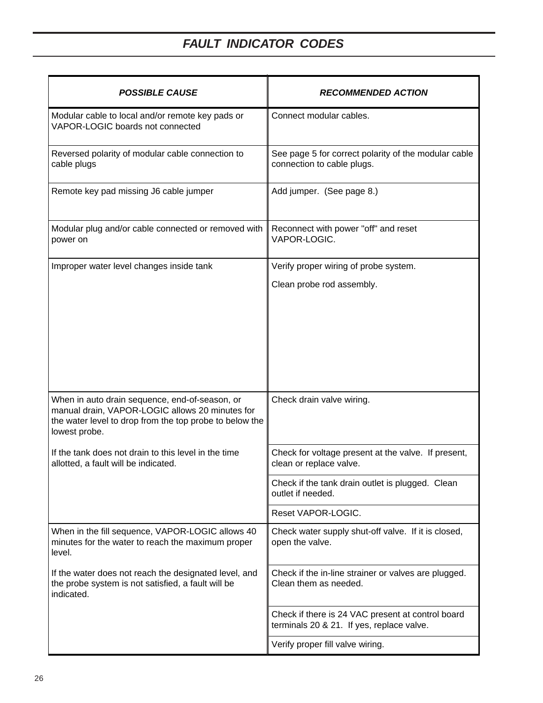| <b>POSSIBLE CAUSE</b>                                                                                                                                                         | <b>RECOMMENDED ACTION</b>                                                                      |
|-------------------------------------------------------------------------------------------------------------------------------------------------------------------------------|------------------------------------------------------------------------------------------------|
| Modular cable to local and/or remote key pads or<br>VAPOR-LOGIC boards not connected                                                                                          | Connect modular cables.                                                                        |
| Reversed polarity of modular cable connection to<br>cable plugs                                                                                                               | See page 5 for correct polarity of the modular cable<br>connection to cable plugs.             |
| Remote key pad missing J6 cable jumper                                                                                                                                        | Add jumper. (See page 8.)                                                                      |
| Modular plug and/or cable connected or removed with<br>power on                                                                                                               | Reconnect with power "off" and reset<br>VAPOR-LOGIC.                                           |
| Improper water level changes inside tank                                                                                                                                      | Verify proper wiring of probe system.                                                          |
|                                                                                                                                                                               | Clean probe rod assembly.                                                                      |
|                                                                                                                                                                               |                                                                                                |
| When in auto drain sequence, end-of-season, or<br>manual drain, VAPOR-LOGIC allows 20 minutes for<br>the water level to drop from the top probe to below the<br>lowest probe. | Check drain valve wiring.                                                                      |
| If the tank does not drain to this level in the time<br>allotted, a fault will be indicated.                                                                                  | Check for voltage present at the valve. If present,<br>clean or replace valve.                 |
|                                                                                                                                                                               | Check if the tank drain outlet is plugged. Clean<br>outlet if needed.                          |
|                                                                                                                                                                               | Reset VAPOR-LOGIC.                                                                             |
| When in the fill sequence, VAPOR-LOGIC allows 40<br>minutes for the water to reach the maximum proper<br>level.                                                               | Check water supply shut-off valve. If it is closed,<br>open the valve.                         |
| If the water does not reach the designated level, and<br>the probe system is not satisfied, a fault will be<br>indicated.                                                     | Check if the in-line strainer or valves are plugged.<br>Clean them as needed.                  |
|                                                                                                                                                                               | Check if there is 24 VAC present at control board<br>terminals 20 & 21. If yes, replace valve. |
|                                                                                                                                                                               | Verify proper fill valve wiring.                                                               |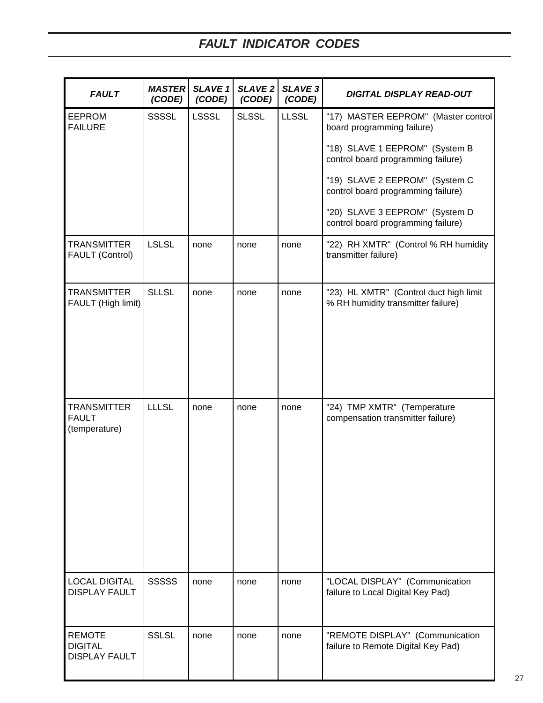| <b>FAULT</b>                                            | <b>MASTER</b><br>(CODE) | <b>SLAVE 1</b><br>(CODE) | <b>SLAVE 2</b><br>(CODE) | <b>SLAVE 3</b><br>(CODE) | <b>DIGITAL DISPLAY READ-OUT</b>                                              |
|---------------------------------------------------------|-------------------------|--------------------------|--------------------------|--------------------------|------------------------------------------------------------------------------|
| <b>EEPROM</b><br><b>FAILURE</b>                         | <b>SSSSL</b>            | <b>LSSSL</b>             | <b>SLSSL</b>             | <b>LLSSL</b>             | "17) MASTER EEPROM" (Master control<br>board programming failure)            |
|                                                         |                         |                          |                          |                          | "18) SLAVE 1 EEPROM" (System B<br>control board programming failure)         |
|                                                         |                         |                          |                          |                          | "19) SLAVE 2 EEPROM" (System C<br>control board programming failure)         |
|                                                         |                         |                          |                          |                          | "20) SLAVE 3 EEPROM" (System D<br>control board programming failure)         |
| <b>TRANSMITTER</b><br><b>FAULT (Control)</b>            | <b>LSLSL</b>            | none                     | none                     | none                     | "22) RH XMTR" (Control % RH humidity<br>transmitter failure)                 |
| <b>TRANSMITTER</b><br>FAULT (High limit)                | <b>SLLSL</b>            | none                     | none                     | none                     | "23) HL XMTR" (Control duct high limit<br>% RH humidity transmitter failure) |
| <b>TRANSMITTER</b><br><b>FAULT</b><br>(temperature)     | <b>LLLSL</b>            | none                     | none                     | none                     | "24) TMP XMTR" (Temperature<br>compensation transmitter failure)             |
| <b>LOCAL DIGITAL</b><br><b>DISPLAY FAULT</b>            | <b>SSSSS</b>            | none                     | none                     | none                     | "LOCAL DISPLAY" (Communication<br>failure to Local Digital Key Pad)          |
| <b>REMOTE</b><br><b>DIGITAL</b><br><b>DISPLAY FAULT</b> | <b>SSLSL</b>            | none                     | none                     | none                     | "REMOTE DISPLAY" (Communication<br>failure to Remote Digital Key Pad)        |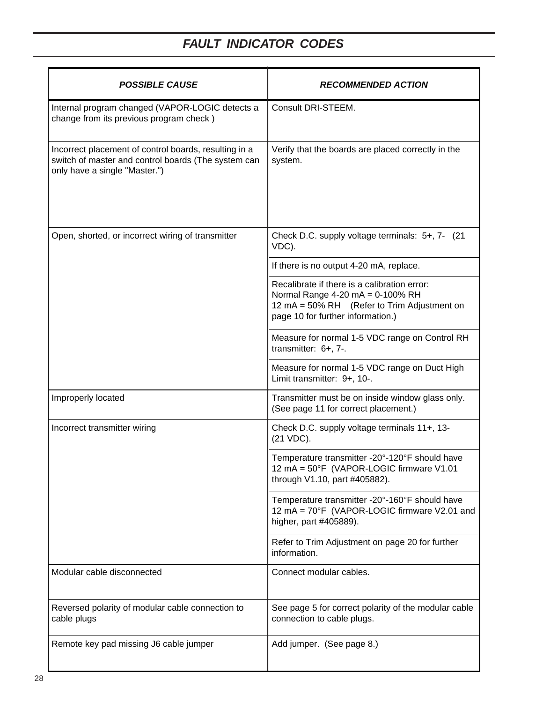| <b>POSSIBLE CAUSE</b>                                                                                                                         | <b>RECOMMENDED ACTION</b>                                                                                                                                            |
|-----------------------------------------------------------------------------------------------------------------------------------------------|----------------------------------------------------------------------------------------------------------------------------------------------------------------------|
| Internal program changed (VAPOR-LOGIC detects a<br>change from its previous program check)                                                    | Consult DRI-STEEM.                                                                                                                                                   |
| Incorrect placement of control boards, resulting in a<br>switch of master and control boards (The system can<br>only have a single "Master.") | Verify that the boards are placed correctly in the<br>system.                                                                                                        |
| Open, shorted, or incorrect wiring of transmitter                                                                                             | Check D.C. supply voltage terminals: 5+, 7- (21<br>VDC).                                                                                                             |
|                                                                                                                                               | If there is no output 4-20 mA, replace.                                                                                                                              |
|                                                                                                                                               | Recalibrate if there is a calibration error:<br>Normal Range 4-20 mA = 0-100% RH<br>12 mA = 50% RH (Refer to Trim Adjustment on<br>page 10 for further information.) |
|                                                                                                                                               | Measure for normal 1-5 VDC range on Control RH<br>transmitter: 6+, 7-.                                                                                               |
|                                                                                                                                               | Measure for normal 1-5 VDC range on Duct High<br>Limit transmitter: 9+, 10-.                                                                                         |
| Improperly located                                                                                                                            | Transmitter must be on inside window glass only.<br>(See page 11 for correct placement.)                                                                             |
| Incorrect transmitter wiring                                                                                                                  | Check D.C. supply voltage terminals 11+, 13-<br>(21 VDC).                                                                                                            |
|                                                                                                                                               | Temperature transmitter -20°-120°F should have<br>12 mA = 50°F (VAPOR-LOGIC firmware V1.01<br>through V1.10, part #405882).                                          |
|                                                                                                                                               | Temperature transmitter -20°-160°F should have<br>12 mA = 70°F (VAPOR-LOGIC firmware V2.01 and<br>higher, part #405889).                                             |
|                                                                                                                                               | Refer to Trim Adjustment on page 20 for further<br>information.                                                                                                      |
| Modular cable disconnected                                                                                                                    | Connect modular cables.                                                                                                                                              |
| Reversed polarity of modular cable connection to<br>cable plugs                                                                               | See page 5 for correct polarity of the modular cable<br>connection to cable plugs.                                                                                   |
| Remote key pad missing J6 cable jumper                                                                                                        | Add jumper. (See page 8.)                                                                                                                                            |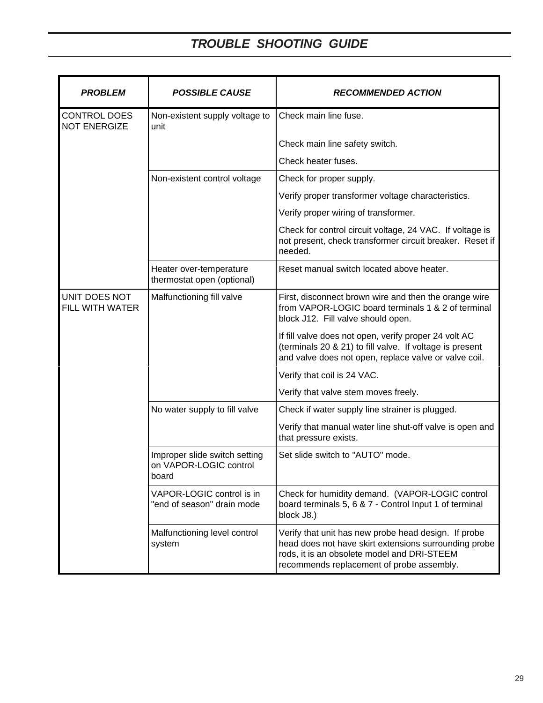| <b>PROBLEM</b>                             | <b>POSSIBLE CAUSE</b>                                            | <b>RECOMMENDED ACTION</b>                                                                                                                                                                                 |
|--------------------------------------------|------------------------------------------------------------------|-----------------------------------------------------------------------------------------------------------------------------------------------------------------------------------------------------------|
| <b>CONTROL DOES</b><br><b>NOT ENERGIZE</b> | Non-existent supply voltage to<br>unit                           | Check main line fuse.                                                                                                                                                                                     |
|                                            |                                                                  | Check main line safety switch.                                                                                                                                                                            |
|                                            |                                                                  | Check heater fuses.                                                                                                                                                                                       |
|                                            | Non-existent control voltage                                     | Check for proper supply.                                                                                                                                                                                  |
|                                            |                                                                  | Verify proper transformer voltage characteristics.                                                                                                                                                        |
|                                            |                                                                  | Verify proper wiring of transformer.                                                                                                                                                                      |
|                                            |                                                                  | Check for control circuit voltage, 24 VAC. If voltage is<br>not present, check transformer circuit breaker. Reset if<br>needed.                                                                           |
|                                            | Heater over-temperature<br>thermostat open (optional)            | Reset manual switch located above heater.                                                                                                                                                                 |
| UNIT DOES NOT<br>FILL WITH WATER           | Malfunctioning fill valve                                        | First, disconnect brown wire and then the orange wire<br>from VAPOR-LOGIC board terminals 1 & 2 of terminal<br>block J12. Fill valve should open.                                                         |
|                                            |                                                                  | If fill valve does not open, verify proper 24 volt AC<br>(terminals 20 & 21) to fill valve. If voltage is present<br>and valve does not open, replace valve or valve coil.                                |
|                                            |                                                                  | Verify that coil is 24 VAC.                                                                                                                                                                               |
|                                            |                                                                  | Verify that valve stem moves freely.                                                                                                                                                                      |
|                                            | No water supply to fill valve                                    | Check if water supply line strainer is plugged.                                                                                                                                                           |
|                                            |                                                                  | Verify that manual water line shut-off valve is open and<br>that pressure exists.                                                                                                                         |
|                                            | Improper slide switch setting<br>on VAPOR-LOGIC control<br>board | Set slide switch to "AUTO" mode.                                                                                                                                                                          |
|                                            | VAPOR-LOGIC control is in<br>"end of season" drain mode          | Check for humidity demand. (VAPOR-LOGIC control<br>board terminals 5, 6 & 7 - Control Input 1 of terminal<br>block J8.)                                                                                   |
|                                            | Malfunctioning level control<br>system                           | Verify that unit has new probe head design. If probe<br>head does not have skirt extensions surrounding probe<br>rods, it is an obsolete model and DRI-STEEM<br>recommends replacement of probe assembly. |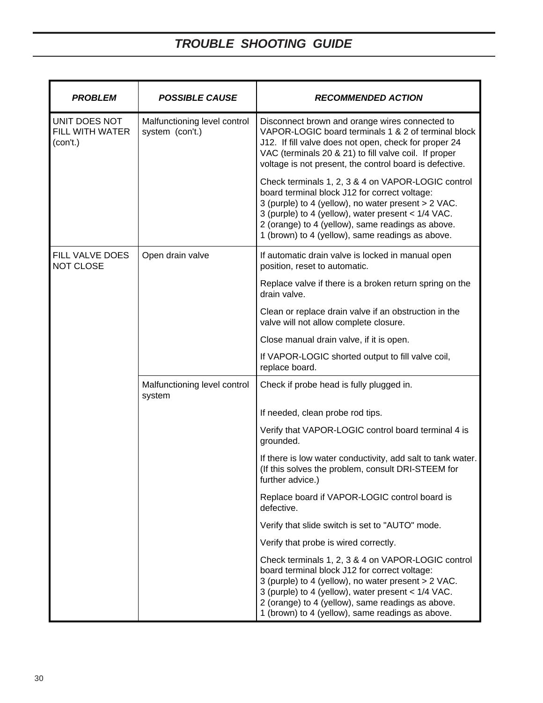| <b>PROBLEM</b>                               | <b>POSSIBLE CAUSE</b>                           | <b>RECOMMENDED ACTION</b>                                                                                                                                                                                                                                                                                                 |
|----------------------------------------------|-------------------------------------------------|---------------------------------------------------------------------------------------------------------------------------------------------------------------------------------------------------------------------------------------------------------------------------------------------------------------------------|
| UNIT DOES NOT<br>FILL WITH WATER<br>(con't.) | Malfunctioning level control<br>system (con't.) | Disconnect brown and orange wires connected to<br>VAPOR-LOGIC board terminals 1 & 2 of terminal block<br>J12. If fill valve does not open, check for proper 24<br>VAC (terminals 20 & 21) to fill valve coil. If proper<br>voltage is not present, the control board is defective.                                        |
|                                              |                                                 | Check terminals 1, 2, 3 & 4 on VAPOR-LOGIC control<br>board terminal block J12 for correct voltage:<br>3 (purple) to 4 (yellow), no water present > 2 VAC.<br>3 (purple) to 4 (yellow), water present < 1/4 VAC.<br>2 (orange) to 4 (yellow), same readings as above.<br>1 (brown) to 4 (yellow), same readings as above. |
| FILL VALVE DOES<br><b>NOT CLOSE</b>          | Open drain valve                                | If automatic drain valve is locked in manual open<br>position, reset to automatic.                                                                                                                                                                                                                                        |
|                                              |                                                 | Replace valve if there is a broken return spring on the<br>drain valve.                                                                                                                                                                                                                                                   |
|                                              |                                                 | Clean or replace drain valve if an obstruction in the<br>valve will not allow complete closure.                                                                                                                                                                                                                           |
|                                              |                                                 | Close manual drain valve, if it is open.                                                                                                                                                                                                                                                                                  |
|                                              |                                                 | If VAPOR-LOGIC shorted output to fill valve coil,<br>replace board.                                                                                                                                                                                                                                                       |
|                                              | Malfunctioning level control<br>system          | Check if probe head is fully plugged in.                                                                                                                                                                                                                                                                                  |
|                                              |                                                 | If needed, clean probe rod tips.                                                                                                                                                                                                                                                                                          |
|                                              |                                                 | Verify that VAPOR-LOGIC control board terminal 4 is<br>grounded.                                                                                                                                                                                                                                                          |
|                                              |                                                 | If there is low water conductivity, add salt to tank water.<br>(If this solves the problem, consult DRI-STEEM for<br>further advice.)                                                                                                                                                                                     |
|                                              |                                                 | Replace board if VAPOR-LOGIC control board is<br>defective.                                                                                                                                                                                                                                                               |
|                                              |                                                 | Verify that slide switch is set to "AUTO" mode.                                                                                                                                                                                                                                                                           |
|                                              |                                                 | Verify that probe is wired correctly.                                                                                                                                                                                                                                                                                     |
|                                              |                                                 | Check terminals 1, 2, 3 & 4 on VAPOR-LOGIC control<br>board terminal block J12 for correct voltage:<br>3 (purple) to 4 (yellow), no water present > 2 VAC.<br>3 (purple) to 4 (yellow), water present < 1/4 VAC.<br>2 (orange) to 4 (yellow), same readings as above.<br>1 (brown) to 4 (yellow), same readings as above. |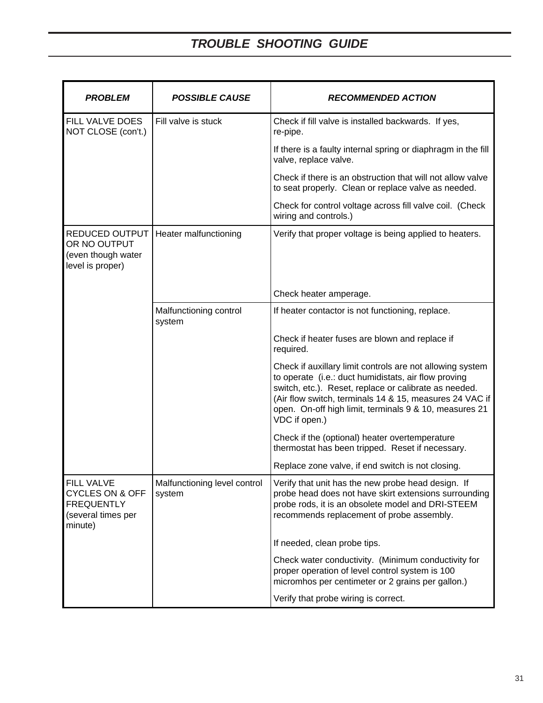| <b>PROBLEM</b>                                                                                        | <b>POSSIBLE CAUSE</b>                  | <b>RECOMMENDED ACTION</b>                                                                                                                                                                                                                                                                                        |  |  |
|-------------------------------------------------------------------------------------------------------|----------------------------------------|------------------------------------------------------------------------------------------------------------------------------------------------------------------------------------------------------------------------------------------------------------------------------------------------------------------|--|--|
| FILL VALVE DOES<br>NOT CLOSE (con't.)                                                                 | Fill valve is stuck                    | Check if fill valve is installed backwards. If yes,<br>re-pipe.                                                                                                                                                                                                                                                  |  |  |
|                                                                                                       |                                        | If there is a faulty internal spring or diaphragm in the fill<br>valve, replace valve.                                                                                                                                                                                                                           |  |  |
|                                                                                                       |                                        | Check if there is an obstruction that will not allow valve<br>to seat properly. Clean or replace valve as needed.                                                                                                                                                                                                |  |  |
|                                                                                                       |                                        | Check for control voltage across fill valve coil. (Check<br>wiring and controls.)                                                                                                                                                                                                                                |  |  |
| <b>REDUCED OUTPUT</b><br>OR NO OUTPUT<br>(even though water<br>level is proper)                       | Heater malfunctioning                  | Verify that proper voltage is being applied to heaters.                                                                                                                                                                                                                                                          |  |  |
|                                                                                                       |                                        | Check heater amperage.                                                                                                                                                                                                                                                                                           |  |  |
|                                                                                                       | Malfunctioning control<br>system       | If heater contactor is not functioning, replace.                                                                                                                                                                                                                                                                 |  |  |
|                                                                                                       |                                        | Check if heater fuses are blown and replace if<br>required.                                                                                                                                                                                                                                                      |  |  |
|                                                                                                       |                                        | Check if auxillary limit controls are not allowing system<br>to operate (i.e.: duct humidistats, air flow proving<br>switch, etc.). Reset, replace or calibrate as needed.<br>(Air flow switch, terminals 14 & 15, measures 24 VAC if<br>open. On-off high limit, terminals 9 & 10, measures 21<br>VDC if open.) |  |  |
|                                                                                                       |                                        | Check if the (optional) heater overtemperature<br>thermostat has been tripped. Reset if necessary.                                                                                                                                                                                                               |  |  |
|                                                                                                       |                                        | Replace zone valve, if end switch is not closing.                                                                                                                                                                                                                                                                |  |  |
| <b>FILL VALVE</b><br><b>CYCLES ON &amp; OFF</b><br><b>FREQUENTLY</b><br>(several times per<br>minute) | Malfunctioning level control<br>system | Verify that unit has the new probe head design. If<br>probe head does not have skirt extensions surrounding<br>probe rods, it is an obsolete model and DRI-STEEM<br>recommends replacement of probe assembly.                                                                                                    |  |  |
|                                                                                                       |                                        | If needed, clean probe tips.                                                                                                                                                                                                                                                                                     |  |  |
|                                                                                                       |                                        | Check water conductivity. (Minimum conductivity for<br>proper operation of level control system is 100<br>micromhos per centimeter or 2 grains per gallon.)                                                                                                                                                      |  |  |
|                                                                                                       |                                        | Verify that probe wiring is correct.                                                                                                                                                                                                                                                                             |  |  |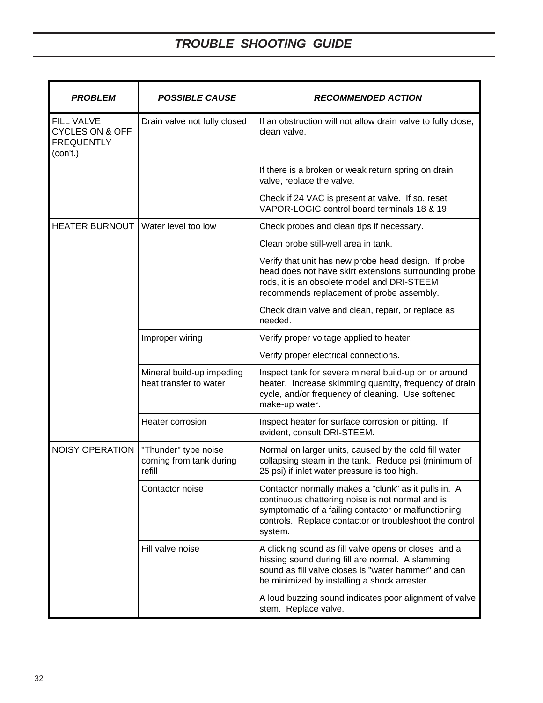| <b>PROBLEM</b>                                                                   | <b>POSSIBLE CAUSE</b>                                     | <b>RECOMMENDED ACTION</b>                                                                                                                                                                                                              |  |  |  |
|----------------------------------------------------------------------------------|-----------------------------------------------------------|----------------------------------------------------------------------------------------------------------------------------------------------------------------------------------------------------------------------------------------|--|--|--|
| <b>FILL VALVE</b><br><b>CYCLES ON &amp; OFF</b><br><b>FREQUENTLY</b><br>(con't.) | Drain valve not fully closed                              | If an obstruction will not allow drain valve to fully close,<br>clean valve.                                                                                                                                                           |  |  |  |
|                                                                                  |                                                           | If there is a broken or weak return spring on drain<br>valve, replace the valve.                                                                                                                                                       |  |  |  |
|                                                                                  |                                                           | Check if 24 VAC is present at valve. If so, reset<br>VAPOR-LOGIC control board terminals 18 & 19.                                                                                                                                      |  |  |  |
| HEATER BURNOUT   Water level too low                                             |                                                           | Check probes and clean tips if necessary.                                                                                                                                                                                              |  |  |  |
|                                                                                  |                                                           | Clean probe still-well area in tank.                                                                                                                                                                                                   |  |  |  |
|                                                                                  |                                                           | Verify that unit has new probe head design. If probe<br>head does not have skirt extensions surrounding probe<br>rods, it is an obsolete model and DRI-STEEM<br>recommends replacement of probe assembly.                              |  |  |  |
|                                                                                  |                                                           | Check drain valve and clean, repair, or replace as<br>needed.                                                                                                                                                                          |  |  |  |
|                                                                                  | Improper wiring                                           | Verify proper voltage applied to heater.                                                                                                                                                                                               |  |  |  |
|                                                                                  |                                                           | Verify proper electrical connections.                                                                                                                                                                                                  |  |  |  |
|                                                                                  | Mineral build-up impeding<br>heat transfer to water       | Inspect tank for severe mineral build-up on or around<br>heater. Increase skimming quantity, frequency of drain<br>cycle, and/or frequency of cleaning. Use softened<br>make-up water.                                                 |  |  |  |
|                                                                                  | Heater corrosion                                          | Inspect heater for surface corrosion or pitting. If<br>evident, consult DRI-STEEM.                                                                                                                                                     |  |  |  |
| <b>NOISY OPERATION</b>                                                           | "Thunder" type noise<br>coming from tank during<br>refill | Normal on larger units, caused by the cold fill water<br>collapsing steam in the tank. Reduce psi (minimum of<br>25 psi) if inlet water pressure is too high.                                                                          |  |  |  |
|                                                                                  | Contactor noise                                           | Contactor normally makes a "clunk" as it pulls in. A<br>continuous chattering noise is not normal and is<br>symptomatic of a failing contactor or malfunctioning<br>controls. Replace contactor or troubleshoot the control<br>system. |  |  |  |
|                                                                                  | Fill valve noise                                          | A clicking sound as fill valve opens or closes and a<br>hissing sound during fill are normal. A slamming<br>sound as fill valve closes is "water hammer" and can<br>be minimized by installing a shock arrester.                       |  |  |  |
|                                                                                  |                                                           | A loud buzzing sound indicates poor alignment of valve<br>stem. Replace valve.                                                                                                                                                         |  |  |  |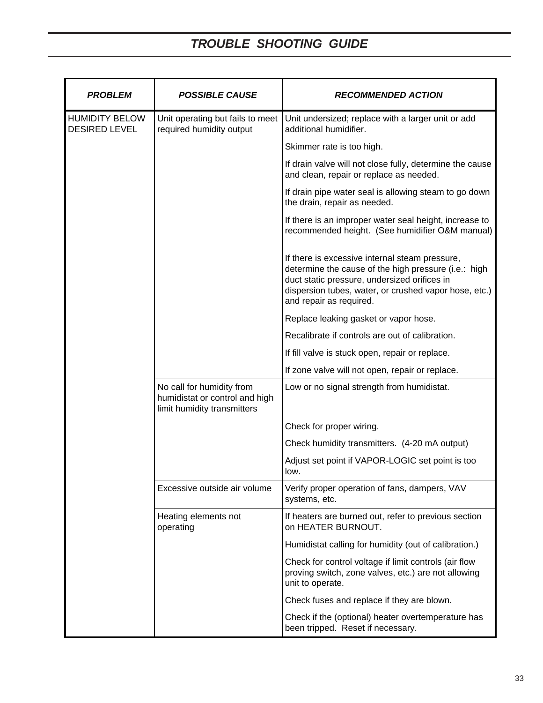| <b>PROBLEM</b>                                | <b>POSSIBLE CAUSE</b>                                                                      | <b>RECOMMENDED ACTION</b>                                                                                                                                                                                                                  |  |  |
|-----------------------------------------------|--------------------------------------------------------------------------------------------|--------------------------------------------------------------------------------------------------------------------------------------------------------------------------------------------------------------------------------------------|--|--|
| <b>HUMIDITY BELOW</b><br><b>DESIRED LEVEL</b> | Unit operating but fails to meet<br>required humidity output                               | Unit undersized; replace with a larger unit or add<br>additional humidifier.                                                                                                                                                               |  |  |
|                                               |                                                                                            | Skimmer rate is too high.                                                                                                                                                                                                                  |  |  |
|                                               |                                                                                            | If drain valve will not close fully, determine the cause<br>and clean, repair or replace as needed.                                                                                                                                        |  |  |
|                                               |                                                                                            | If drain pipe water seal is allowing steam to go down<br>the drain, repair as needed.                                                                                                                                                      |  |  |
|                                               |                                                                                            | If there is an improper water seal height, increase to<br>recommended height. (See humidifier O&M manual)                                                                                                                                  |  |  |
|                                               |                                                                                            | If there is excessive internal steam pressure,<br>determine the cause of the high pressure (i.e.: high<br>duct static pressure, undersized orifices in<br>dispersion tubes, water, or crushed vapor hose, etc.)<br>and repair as required. |  |  |
|                                               |                                                                                            | Replace leaking gasket or vapor hose.                                                                                                                                                                                                      |  |  |
|                                               |                                                                                            | Recalibrate if controls are out of calibration.                                                                                                                                                                                            |  |  |
|                                               |                                                                                            | If fill valve is stuck open, repair or replace.                                                                                                                                                                                            |  |  |
|                                               |                                                                                            | If zone valve will not open, repair or replace.                                                                                                                                                                                            |  |  |
|                                               | No call for humidity from<br>humidistat or control and high<br>limit humidity transmitters | Low or no signal strength from humidistat.                                                                                                                                                                                                 |  |  |
|                                               |                                                                                            | Check for proper wiring.                                                                                                                                                                                                                   |  |  |
|                                               |                                                                                            | Check humidity transmitters. (4-20 mA output)                                                                                                                                                                                              |  |  |
|                                               |                                                                                            | Adjust set point if VAPOR-LOGIC set point is too<br>low.                                                                                                                                                                                   |  |  |
|                                               | Excessive outside air volume                                                               | Verify proper operation of fans, dampers, VAV<br>systems, etc.                                                                                                                                                                             |  |  |
|                                               | Heating elements not<br>operating                                                          | If heaters are burned out, refer to previous section<br>on HEATER BURNOUT.                                                                                                                                                                 |  |  |
|                                               |                                                                                            | Humidistat calling for humidity (out of calibration.)                                                                                                                                                                                      |  |  |
|                                               |                                                                                            | Check for control voltage if limit controls (air flow<br>proving switch, zone valves, etc.) are not allowing<br>unit to operate.                                                                                                           |  |  |
|                                               |                                                                                            | Check fuses and replace if they are blown.                                                                                                                                                                                                 |  |  |
|                                               |                                                                                            | Check if the (optional) heater overtemperature has<br>been tripped. Reset if necessary.                                                                                                                                                    |  |  |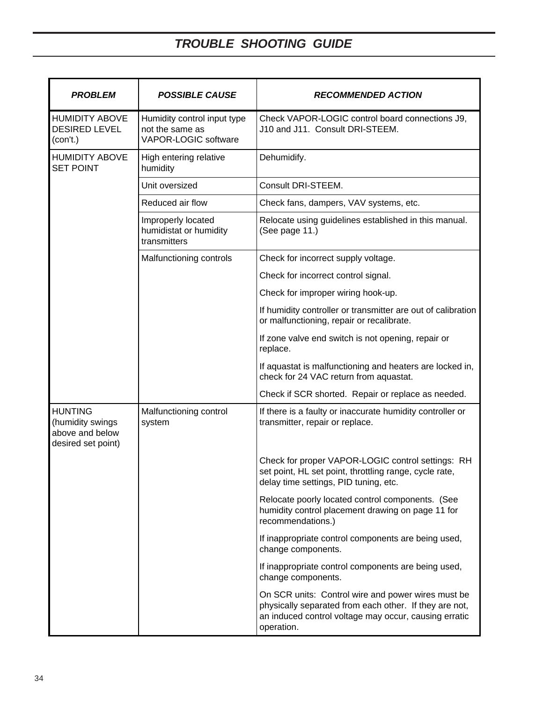| <b>PROBLEM</b>                                                              | <b>POSSIBLE CAUSE</b>                                                         | <b>RECOMMENDED ACTION</b>                                                                                                                                                           |  |
|-----------------------------------------------------------------------------|-------------------------------------------------------------------------------|-------------------------------------------------------------------------------------------------------------------------------------------------------------------------------------|--|
| <b>HUMIDITY ABOVE</b><br><b>DESIRED LEVEL</b><br>(con't.)                   | Humidity control input type<br>not the same as<br><b>VAPOR-LOGIC software</b> | Check VAPOR-LOGIC control board connections J9,<br>J10 and J11. Consult DRI-STEEM.                                                                                                  |  |
| <b>HUMIDITY ABOVE</b><br><b>SET POINT</b>                                   | High entering relative<br>humidity                                            | Dehumidify.                                                                                                                                                                         |  |
|                                                                             | Unit oversized                                                                | Consult DRI-STEEM.                                                                                                                                                                  |  |
|                                                                             | Reduced air flow                                                              | Check fans, dampers, VAV systems, etc.                                                                                                                                              |  |
|                                                                             | Improperly located<br>humidistat or humidity<br>transmitters                  | Relocate using guidelines established in this manual.<br>(See page 11.)                                                                                                             |  |
|                                                                             | Malfunctioning controls                                                       | Check for incorrect supply voltage.                                                                                                                                                 |  |
|                                                                             |                                                                               | Check for incorrect control signal.                                                                                                                                                 |  |
|                                                                             |                                                                               | Check for improper wiring hook-up.                                                                                                                                                  |  |
|                                                                             |                                                                               | If humidity controller or transmitter are out of calibration<br>or malfunctioning, repair or recalibrate.                                                                           |  |
|                                                                             |                                                                               | If zone valve end switch is not opening, repair or<br>replace.                                                                                                                      |  |
|                                                                             |                                                                               | If aquastat is malfunctioning and heaters are locked in,<br>check for 24 VAC return from aquastat.                                                                                  |  |
|                                                                             |                                                                               | Check if SCR shorted. Repair or replace as needed.                                                                                                                                  |  |
| <b>HUNTING</b><br>(humidity swings<br>above and below<br>desired set point) | Malfunctioning control<br>system                                              | If there is a faulty or inaccurate humidity controller or<br>transmitter, repair or replace.                                                                                        |  |
|                                                                             |                                                                               | Check for proper VAPOR-LOGIC control settings: RH<br>set point, HL set point, throttling range, cycle rate,<br>delay time settings, PID tuning, etc.                                |  |
|                                                                             |                                                                               | Relocate poorly located control components. (See<br>humidity control placement drawing on page 11 for<br>recommendations.)                                                          |  |
|                                                                             |                                                                               | If inappropriate control components are being used,<br>change components.                                                                                                           |  |
|                                                                             |                                                                               | If inappropriate control components are being used,<br>change components.                                                                                                           |  |
|                                                                             |                                                                               | On SCR units: Control wire and power wires must be<br>physically separated from each other. If they are not,<br>an induced control voltage may occur, causing erratic<br>operation. |  |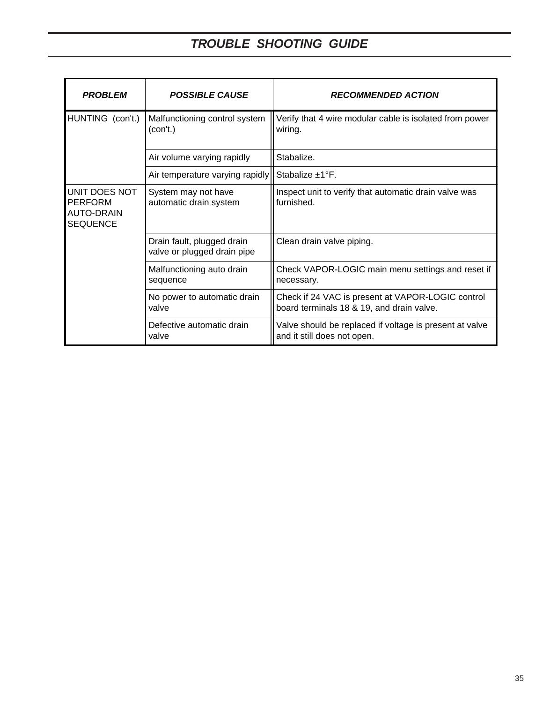| <b>PROBLEM</b>                                                          | <b>POSSIBLE CAUSE</b>                                     | <b>RECOMMENDED ACTION</b>                                                                      |  |
|-------------------------------------------------------------------------|-----------------------------------------------------------|------------------------------------------------------------------------------------------------|--|
| HUNTING (con't.)                                                        | Malfunctioning control system<br>(con't.)                 | Verify that 4 wire modular cable is isolated from power<br>wiring.                             |  |
|                                                                         | Air volume varying rapidly                                | Stabalize.                                                                                     |  |
|                                                                         | Air temperature varying rapidly                           | Stabalize $\pm 1$ °F.                                                                          |  |
| UNIT DOES NOT<br><b>PERFORM</b><br><b>AUTO-DRAIN</b><br><b>SEQUENCE</b> | System may not have<br>automatic drain system             | Inspect unit to verify that automatic drain valve was<br>furnished.                            |  |
|                                                                         | Drain fault, plugged drain<br>valve or plugged drain pipe | Clean drain valve piping.                                                                      |  |
|                                                                         | Malfunctioning auto drain<br>sequence                     | Check VAPOR-LOGIC main menu settings and reset if<br>necessary.                                |  |
|                                                                         | No power to automatic drain<br>valve                      | Check if 24 VAC is present at VAPOR-LOGIC control<br>board terminals 18 & 19, and drain valve. |  |
|                                                                         | Defective automatic drain<br>valve                        | Valve should be replaced if voltage is present at valve<br>and it still does not open.         |  |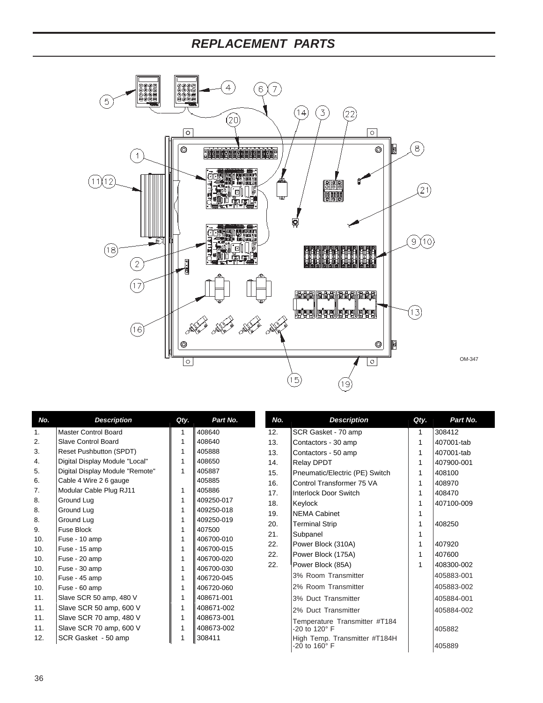# *REPLACEMENT PARTS*



| No. | <b>Description</b>              | Qty. | Part No.   | No. | <b>Description</b>                             | Qty. | Part No.   |
|-----|---------------------------------|------|------------|-----|------------------------------------------------|------|------------|
| 1.  | <b>Master Control Board</b>     | 1    | 408640     | 12. | SCR Gasket - 70 amp                            |      | 308412     |
| 2.  | <b>Slave Control Board</b>      | 1    | 408640     | 13. | Contactors - 30 amp                            |      | 407001-tab |
| 3.  | Reset Pushbutton (SPDT)         | 1    | 405888     | 13. | Contactors - 50 amp                            |      | 407001-tab |
| 4.  | Digital Display Module "Local"  | 1    | 408650     | 14. | Relay DPDT                                     |      | 407900-001 |
| 5.  | Digital Display Module "Remote" | 1    | 405887     | 15. | Pneumatic/Electric (PE) Switch                 |      | 408100     |
| 6.  | Cable 4 Wire 2 6 gauge          |      | 405885     | 16. | Control Transformer 75 VA                      |      | 408970     |
| 7.  | Modular Cable Plug RJ11         | 1    | 405886     | 17. | <b>Interlock Door Switch</b>                   |      | 408470     |
| 8.  | Ground Lug                      | 1    | 409250-017 | 18. | Keylock                                        |      | 407100-009 |
| 8.  | Ground Lug                      | 1    | 409250-018 | 19. | <b>NEMA Cabinet</b>                            |      |            |
| 8.  | Ground Lug                      | 1    | 409250-019 | 20. | <b>Terminal Strip</b>                          |      | 408250     |
| 9.  | Fuse Block                      | 1    | 407500     | 21. | Subpanel                                       |      |            |
| 10. | Fuse - 10 amp                   | 1    | 406700-010 | 22. | Power Block (310A)                             |      | 407920     |
| 10. | Fuse - 15 amp                   | 1    | 406700-015 | 22. | Power Block (175A)                             |      | 407600     |
| 10. | Fuse - 20 amp                   | 1    | 406700-020 | 22. |                                                |      | 408300-002 |
| 10. | Fuse - 30 amp                   | 1    | 406700-030 |     | Power Block (85A)                              |      |            |
| 10. | Fuse - 45 amp                   | 1    | 406720-045 |     | 3% Room Transmitter                            |      | 405883-001 |
| 10. | Fuse - 60 amp                   | 1    | 406720-060 |     | 2% Room Transmitter                            |      | 405883-002 |
| 11. | Slave SCR 50 amp, 480 V         | 1    | 408671-001 |     | 3% Duct Transmitter                            |      | 405884-001 |
| 11. | Slave SCR 50 amp, 600 V         | 1    | 408671-002 |     | 2% Duct Transmitter                            |      | 405884-002 |
| 11. | Slave SCR 70 amp, 480 V         | 1    | 408673-001 |     | Temperature Transmitter #T184                  |      |            |
| 11. | Slave SCR 70 amp, 600 V         | 1    | 408673-002 |     | -20 to 120° F                                  |      | 405882     |
| 12. | SCR Gasket - 50 amp             |      | 308411     |     | High Temp. Transmitter #T184H<br>-20 to 160° F |      | 405889     |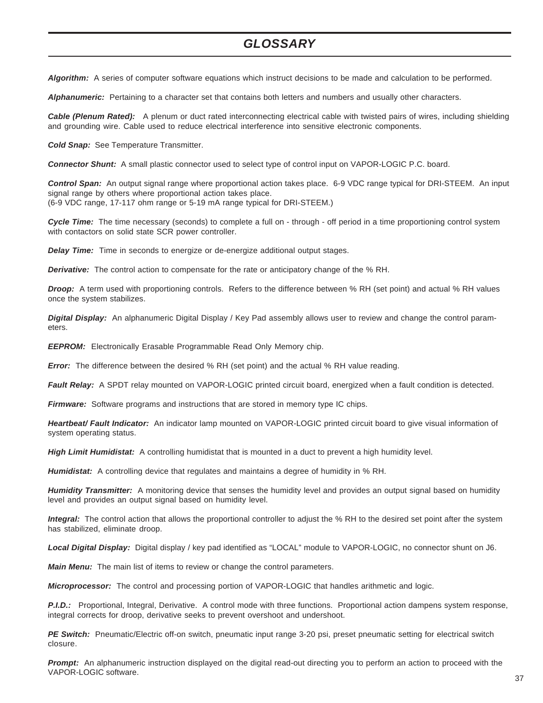### *GLOSSARY*

*Algorithm:* A series of computer software equations which instruct decisions to be made and calculation to be performed.

*Alphanumeric:* Pertaining to a character set that contains both letters and numbers and usually other characters.

*Cable (Plenum Rated):* A plenum or duct rated interconnecting electrical cable with twisted pairs of wires, including shielding and grounding wire. Cable used to reduce electrical interference into sensitive electronic components.

*Cold Snap:* See Temperature Transmitter.

*Connector Shunt:* A small plastic connector used to select type of control input on VAPOR-LOGIC P.C. board.

*Control Span:* An output signal range where proportional action takes place. 6-9 VDC range typical for DRI-STEEM. An input signal range by others where proportional action takes place. (6-9 VDC range, 17-117 ohm range or 5-19 mA range typical for DRI-STEEM.)

*Cycle Time:* The time necessary (seconds) to complete a full on - through - off period in a time proportioning control system with contactors on solid state SCR power controller.

*Delay Time:* Time in seconds to energize or de-energize additional output stages.

*Derivative:* The control action to compensate for the rate or anticipatory change of the % RH.

*Droop:* A term used with proportioning controls. Refers to the difference between % RH (set point) and actual % RH values once the system stabilizes.

*Digital Display:* An alphanumeric Digital Display / Key Pad assembly allows user to review and change the control parameters.

**EEPROM:** Electronically Erasable Programmable Read Only Memory chip.

*Error:* The difference between the desired % RH (set point) and the actual % RH value reading.

*Fault Relay:* A SPDT relay mounted on VAPOR-LOGIC printed circuit board, energized when a fault condition is detected.

*Firmware:* Software programs and instructions that are stored in memory type IC chips.

*Heartbeat/ Fault Indicator:* An indicator lamp mounted on VAPOR-LOGIC printed circuit board to give visual information of system operating status.

*High Limit Humidistat:* A controlling humidistat that is mounted in a duct to prevent a high humidity level.

*Humidistat:* A controlling device that regulates and maintains a degree of humidity in % RH.

*Humidity Transmitter:* A monitoring device that senses the humidity level and provides an output signal based on humidity level and provides an output signal based on humidity level.

*Integral:* The control action that allows the proportional controller to adjust the % RH to the desired set point after the system has stabilized, eliminate droop.

*Local Digital Display:* Digital display / key pad identified as "LOCAL" module to VAPOR-LOGIC, no connector shunt on J6.

*Main Menu:* The main list of items to review or change the control parameters.

*Microprocessor:* The control and processing portion of VAPOR-LOGIC that handles arithmetic and logic.

*P.I.D.:* Proportional, Integral, Derivative. A control mode with three functions. Proportional action dampens system response, integral corrects for droop, derivative seeks to prevent overshoot and undershoot.

*PE Switch:* Pneumatic/Electric off-on switch, pneumatic input range 3-20 psi, preset pneumatic setting for electrical switch closure.

**Prompt:** An alphanumeric instruction displayed on the digital read-out directing you to perform an action to proceed with the VAPOR-LOGIC software.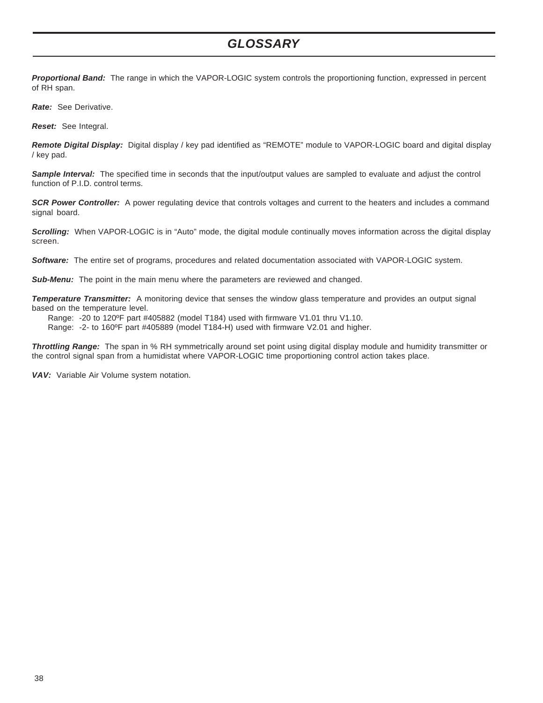### *GLOSSARY*

*Proportional Band:* The range in which the VAPOR-LOGIC system controls the proportioning function, expressed in percent of RH span.

*Rate:* See Derivative.

*Reset:* See Integral.

*Remote Digital Display:* Digital display / key pad identified as "REMOTE" module to VAPOR-LOGIC board and digital display / key pad.

*Sample Interval:* The specified time in seconds that the input/output values are sampled to evaluate and adjust the control function of P.I.D. control terms.

**SCR Power Controller:** A power regulating device that controls voltages and current to the heaters and includes a command signal board.

*Scrolling:* When VAPOR-LOGIC is in "Auto" mode, the digital module continually moves information across the digital display screen.

*Software:* The entire set of programs, procedures and related documentation associated with VAPOR-LOGIC system.

*Sub-Menu:* The point in the main menu where the parameters are reviewed and changed.

*Temperature Transmitter:* A monitoring device that senses the window glass temperature and provides an output signal based on the temperature level.

Range: -20 to 120ºF part #405882 (model T184) used with firmware V1.01 thru V1.10.

Range: -2- to 160ºF part #405889 (model T184-H) used with firmware V2.01 and higher.

*Throttling Range:* The span in % RH symmetrically around set point using digital display module and humidity transmitter or the control signal span from a humidistat where VAPOR-LOGIC time proportioning control action takes place.

*VAV:* Variable Air Volume system notation.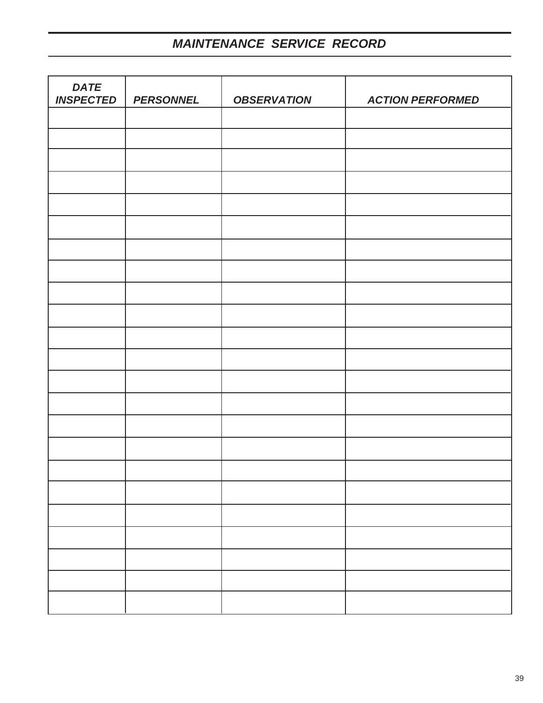# *MAINTENANCE SERVICE RECORD*

| <b>DATE</b><br><b>INSPECTED</b> | <b>PERSONNEL</b> | <b>OBSERVATION</b> | <b>ACTION PERFORMED</b> |
|---------------------------------|------------------|--------------------|-------------------------|
|                                 |                  |                    |                         |
|                                 |                  |                    |                         |
|                                 |                  |                    |                         |
|                                 |                  |                    |                         |
|                                 |                  |                    |                         |
|                                 |                  |                    |                         |
|                                 |                  |                    |                         |
|                                 |                  |                    |                         |
|                                 |                  |                    |                         |
|                                 |                  |                    |                         |
|                                 |                  |                    |                         |
|                                 |                  |                    |                         |
|                                 |                  |                    |                         |
|                                 |                  |                    |                         |
|                                 |                  |                    |                         |
|                                 |                  |                    |                         |
|                                 |                  |                    |                         |
|                                 |                  |                    |                         |
|                                 |                  |                    |                         |
|                                 |                  |                    |                         |
|                                 |                  |                    |                         |
|                                 |                  |                    |                         |
|                                 |                  |                    |                         |